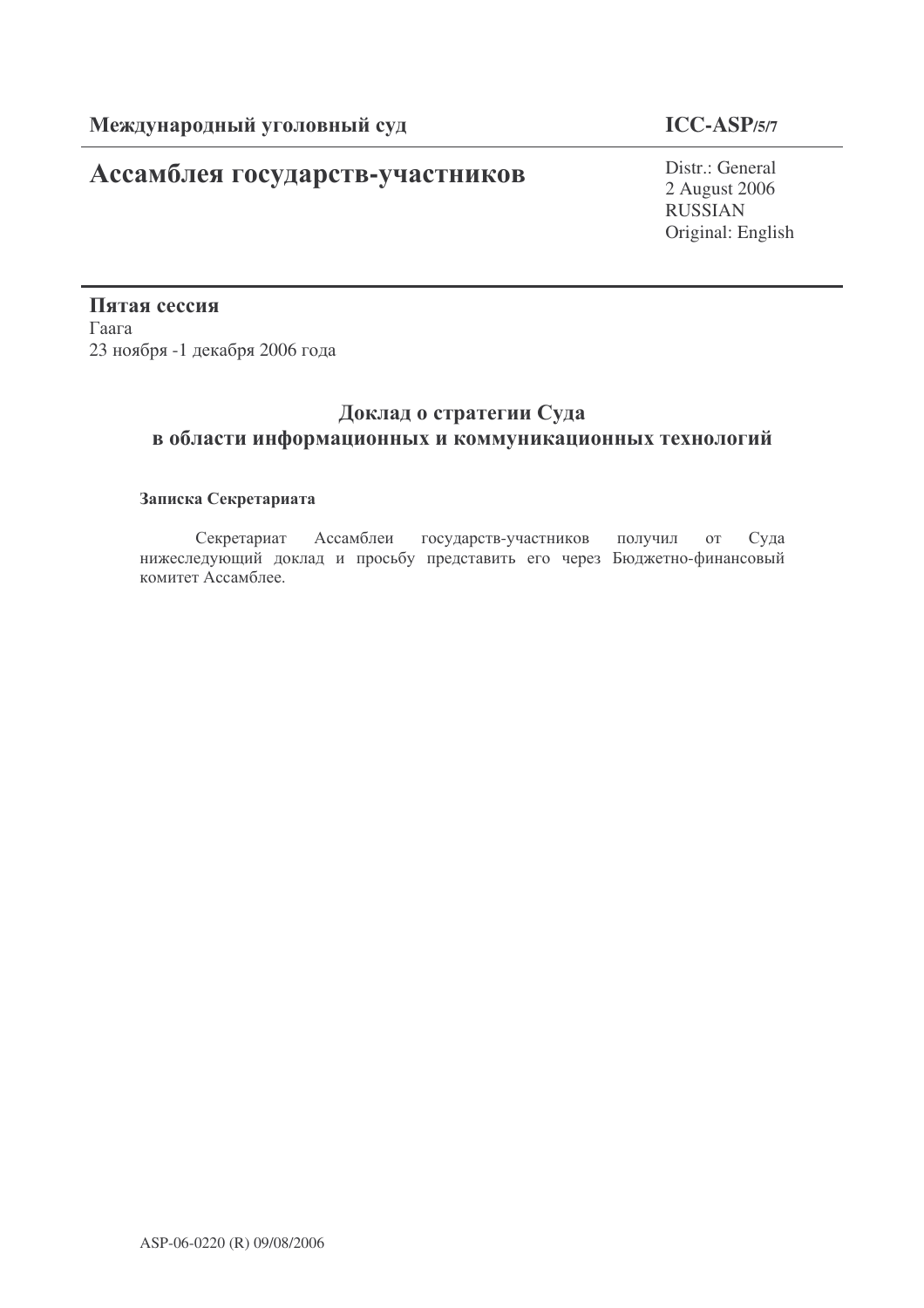# Ассамблея государств-участников

# **ICC-ASP/5/7**

Distr.: General 2 August 2006 RUSSIAN Original: English

Пятая сессия  $\Gamma$ аага 23 ноября -1 декабря 2006 года

# Доклад о стратегии Суда в области информационных и коммуникационных технологий

## Записка Секретариата

Секретариат Ассамблеи государств-участников получил от Суда Суда нижеследующий доклад и просьбу представить его через Бюджетно-финансовый комитет Ассамблее.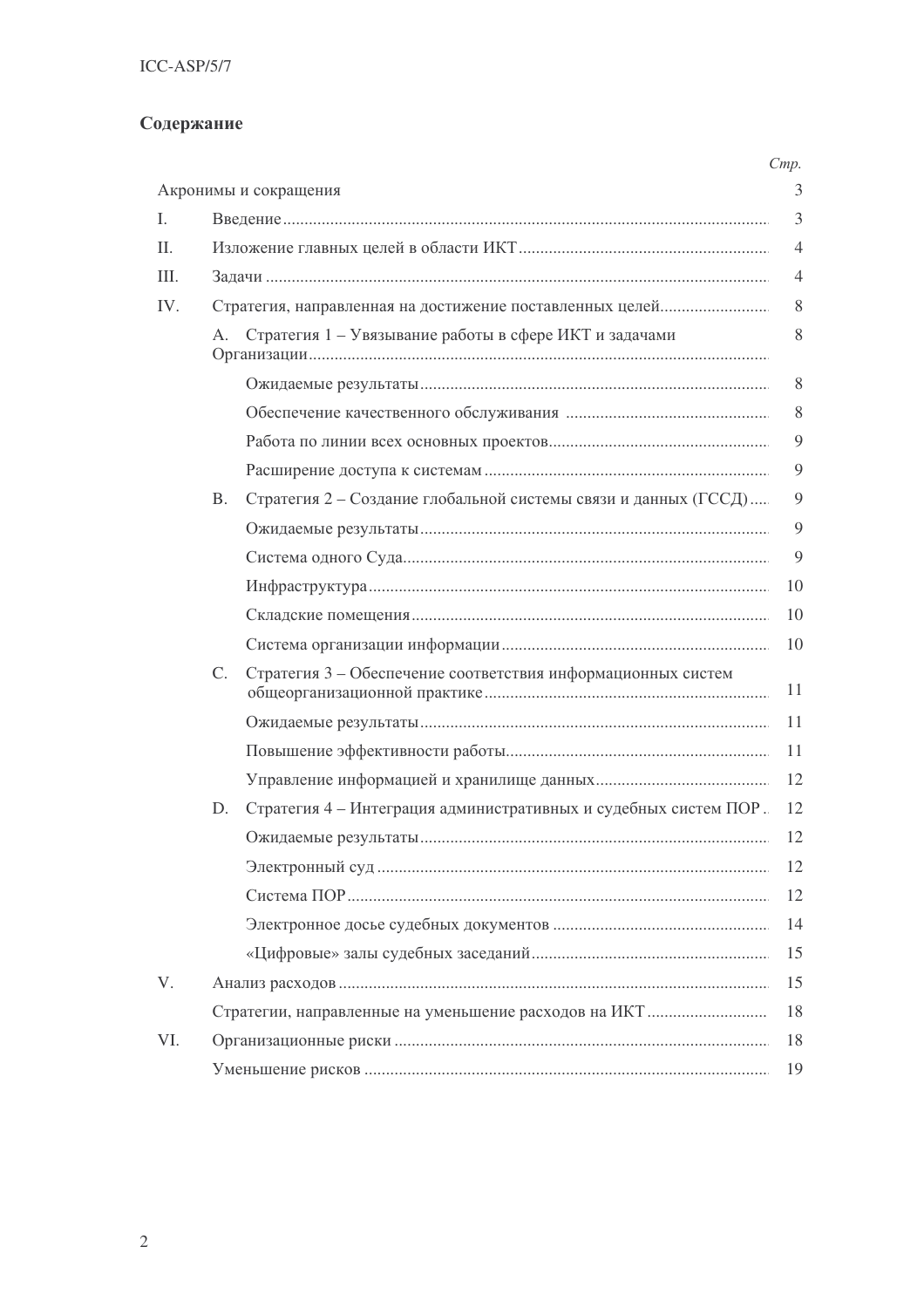# Содержание

|      |                                                          |                                                                  | Cmp.           |
|------|----------------------------------------------------------|------------------------------------------------------------------|----------------|
|      |                                                          | Акронимы и сокращения                                            | 3              |
| L.   |                                                          |                                                                  | 3              |
| II.  |                                                          |                                                                  | $\overline{4}$ |
| III. |                                                          |                                                                  | $\overline{4}$ |
| IV.  | Стратегия, направленная на достижение поставленных целей |                                                                  |                |
|      | А.                                                       | Стратегия 1 - Увязывание работы в сфере ИКТ и задачами           | 8              |
|      |                                                          |                                                                  | 8              |
|      |                                                          |                                                                  | 8              |
|      |                                                          |                                                                  | 9              |
|      |                                                          |                                                                  | 9              |
|      | <b>B.</b>                                                | Стратегия 2 - Создание глобальной системы связи и данных (ГССД)  | 9              |
|      |                                                          |                                                                  | 9              |
|      |                                                          |                                                                  | 9              |
|      |                                                          |                                                                  | 10             |
|      |                                                          |                                                                  | 10             |
|      |                                                          |                                                                  | 10             |
|      | $C_{\cdot}$                                              | Стратегия 3 - Обеспечение соответствия информационных систем     | 11             |
|      |                                                          |                                                                  | 11             |
|      |                                                          |                                                                  | 11             |
|      |                                                          |                                                                  | 12             |
|      | D.                                                       | Стратегия 4 - Интеграция административных и судебных систем ПОР. | 12             |
|      |                                                          |                                                                  | 12             |
|      |                                                          |                                                                  | 12             |
|      |                                                          |                                                                  | 12             |
|      |                                                          |                                                                  | 14             |
|      |                                                          |                                                                  | 15             |
| V.   |                                                          |                                                                  | 15             |
|      |                                                          |                                                                  | 18             |
| VI.  |                                                          |                                                                  | 18             |
|      |                                                          |                                                                  | 19             |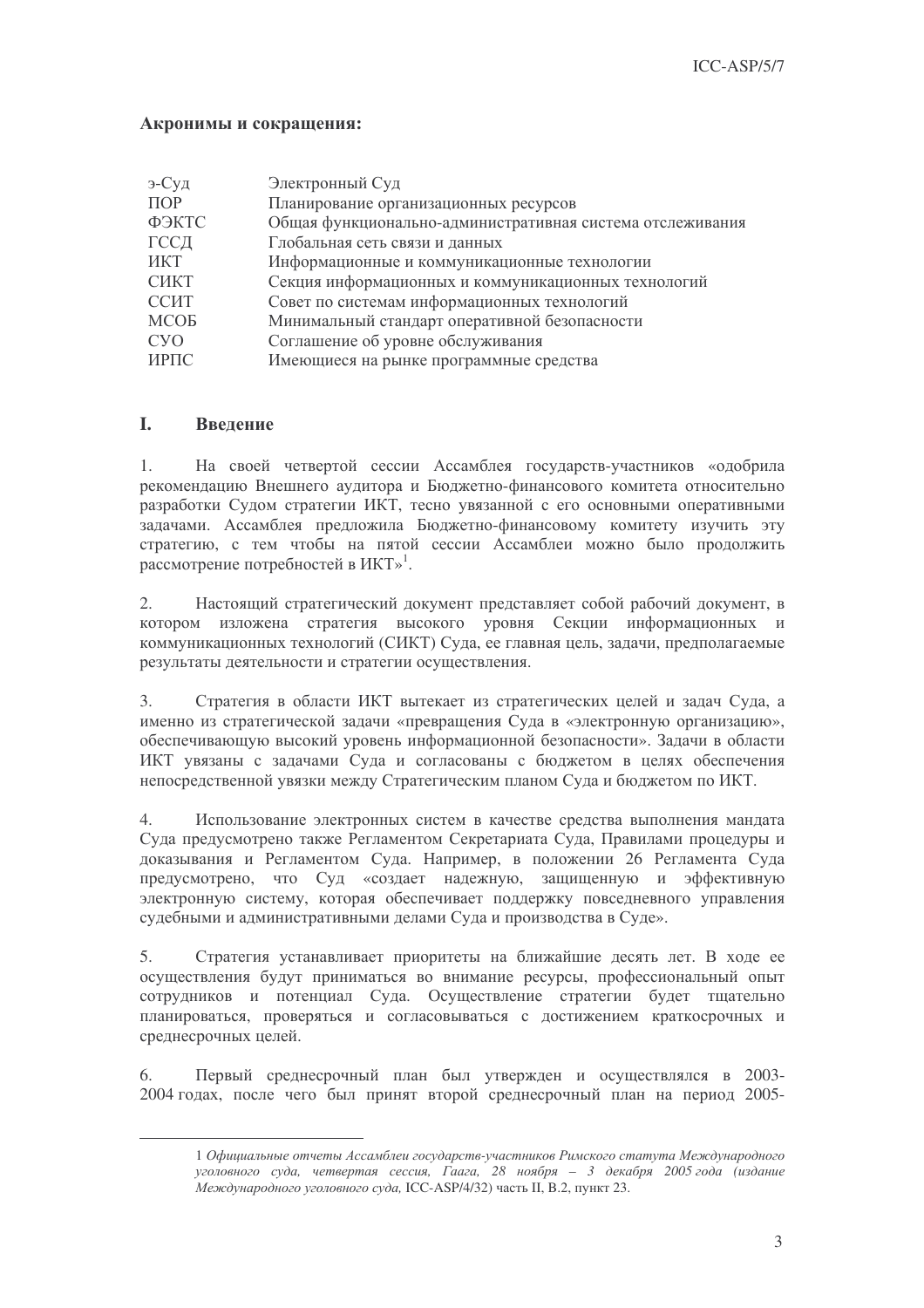### Акронимы и сокращения:

| э-Суд            | Электронный Суд                                           |
|------------------|-----------------------------------------------------------|
| $\Pi$ OP         | Планирование организационных ресурсов                     |
| ФЭКТС            | Общая функционально-административная система отслеживания |
| ГССД             | Глобальная сеть связи и данных                            |
| ИКТ              | Информационные и коммуникационные технологии              |
| <b>СИКТ</b>      | Секция информационных и коммуникационных технологий       |
| <b>ССИТ</b>      | Совет по системам информационных технологий               |
| <b>MCOB</b>      | Минимальный стандарт оперативной безопасности             |
| C <sub>y</sub> O | Соглашение об уровне обслуживания                         |
| ИРПС             | Имеющиеся на рынке программные средства                   |

#### L Введение

 $1.$ На своей четвертой сессии Ассамблея государств-участников «одобрила рекомендацию Внешнего аудитора и Бюджетно-финансового комитета относительно разработки Судом стратегии ИКТ, тесно увязанной с его основными оперативными задачами. Ассамблея предложила Бюджетно-финансовому комитету изучить эту стратегию, с тем чтобы на пятой сессии Ассамблеи можно было продолжить рассмотрение потребностей в ИКТ»<sup>1</sup>.

 $\overline{2}$ . Настоящий стратегический документ представляет собой рабочий документ, в котором изложена стратегия высокого уровня Секции информационных и коммуникационных технологий (СИКТ) Суда, ее главная цель, задачи, предполагаемые результаты деятельности и стратегии осуществления.

Стратегия в области ИКТ вытекает из стратегических целей и задач Суда, а  $\mathfrak{Z}$ . именно из стратегической задачи «превращения Суда в «электронную организацию», обеспечивающую высокий уровень информационной безопасности». Задачи в области ИКТ увязаны с задачами Суда и согласованы с бюджетом в целях обеспечения непосредственной увязки между Стратегическим планом Суда и бюджетом по ИКТ.

 $\overline{4}$ . Использование электронных систем в качестве средства выполнения мандата Суда предусмотрено также Регламентом Секретариата Суда, Правилами процедуры и доказывания и Регламентом Суда. Например, в положении 26 Регламента Суда предусмотрено, что Суд «создает надежную, защищенную и эффективную электронную систему, которая обеспечивает поддержку повседневного управления судебными и административными делами Суда и производства в Суде».

 $5<sub>1</sub>$ Стратегия устанавливает приоритеты на ближайшие десять лет. В ходе ее осуществления будут приниматься во внимание ресурсы, профессиональный опыт сотрудников и потенциал Суда. Осуществление стратегии будет тщательно планироваться, проверяться и согласовываться с достижением краткосрочных и среднесрочных целей.

Первый среднесрочный план был утвержден и осуществлялся в 2003-6. 2004 годах, после чего был принят второй среднесрочный план на период 2005-

<sup>1</sup> Официальные отчеты Ассамблеи государств-участников Римского статута Международного уголовного суда, четвертая сессия, Гаага, 28 ноября - 3 декабря 2005 года (издание .<br>Международного уголовного суда, ICC-ASP/4/32) часть II, В.2, пункт 23.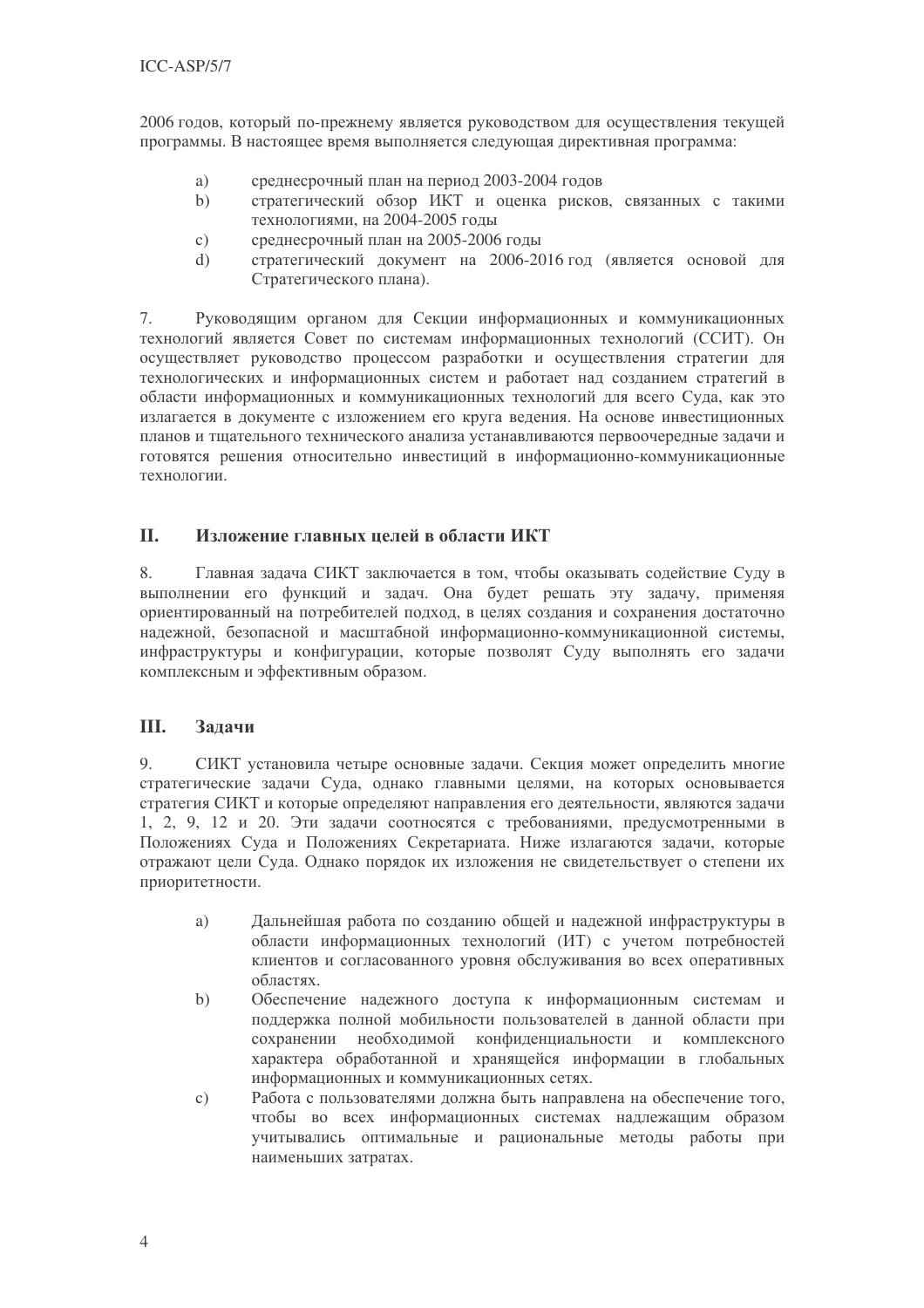2006 годов, который по-прежнему является руководством для осуществления текущей программы. В настоящее время выполняется следующая директивная программа:

- a) среднесрочный план на период 2003-2004 годов
- стратегический обзор ИКТ и оценка рисков, связанных с такими  $b)$ технологиями, на 2004-2005 годы
- среднесрочный план на 2005-2006 годы  $\mathcal{C}$ )
- стратегический документ на 2006-2016 год (является основой для  $\mathrm{d}$ Стратегического плана).

Руководящим органом для Секции информационных и коммуникационных  $7\overline{ }$ технологий является Совет по системам информационных технологий (ССИТ). Он осуществляет руководство процессом разработки и осуществления стратегии для технологических и информационных систем и работает над созданием стратегий в области информационных и коммуникационных технологий для всего Суда, как это излагается в документе с изложением его круга ведения. На основе инвестиционных планов и тшательного технического анализа устанавливаются первоочерелные залачи и готовятся решения относительно инвестиций в информационно-коммуникационные технологии.

#### II. Изложение главных целей в области ИКТ

 $\mathsf{R}$ Главная задача СИКТ заключается в том, чтобы оказывать содействие Суду в выполнении его функций и задач. Она будет решать эту задачу, применяя ориентированный на потребителей подход, в целях создания и сохранения достаточно належной. безопасной и масштабной информационно-коммуникационной системы, инфраструктуры и конфигурации, которые позволят Суду выполнять его задачи комплексным и эффективным образом.

#### III. Задачи

СИКТ установила четыре основные задачи. Секция может определить многие 9. стратегические задачи Суда, однако главными целями, на которых основывается стратегия СИКТ и которые определяют направления его деятельности, являются задачи 1, 2, 9, 12 и 20. Эти задачи соотносятся с требованиями, предусмотренными в Положениях Суда и Положениях Секретариата. Ниже излагаются задачи, которые отражают цели Суда. Однако порядок их изложения не свидетельствует о степени их приоритетности.

- Дальнейшая работа по созданию общей и надежной инфраструктуры в a) области информационных технологий (ИТ) с учетом потребностей клиентов и согласованного уровня обслуживания во всех оперативных областях.
- $b)$ Обеспечение надежного доступа к информационным системам и поддержка полной мобильности пользователей в данной области при сохранении необходимой конфиденциальности и комплексного характера обработанной и хранящейся информации в глобальных информационных и коммуникационных сетях.
- Работа с пользователями должна быть направлена на обеспечение того.  $c)$ чтобы во всех информационных системах надлежащим образом учитывались оптимальные и рациональные методы работы при наименьших затратах.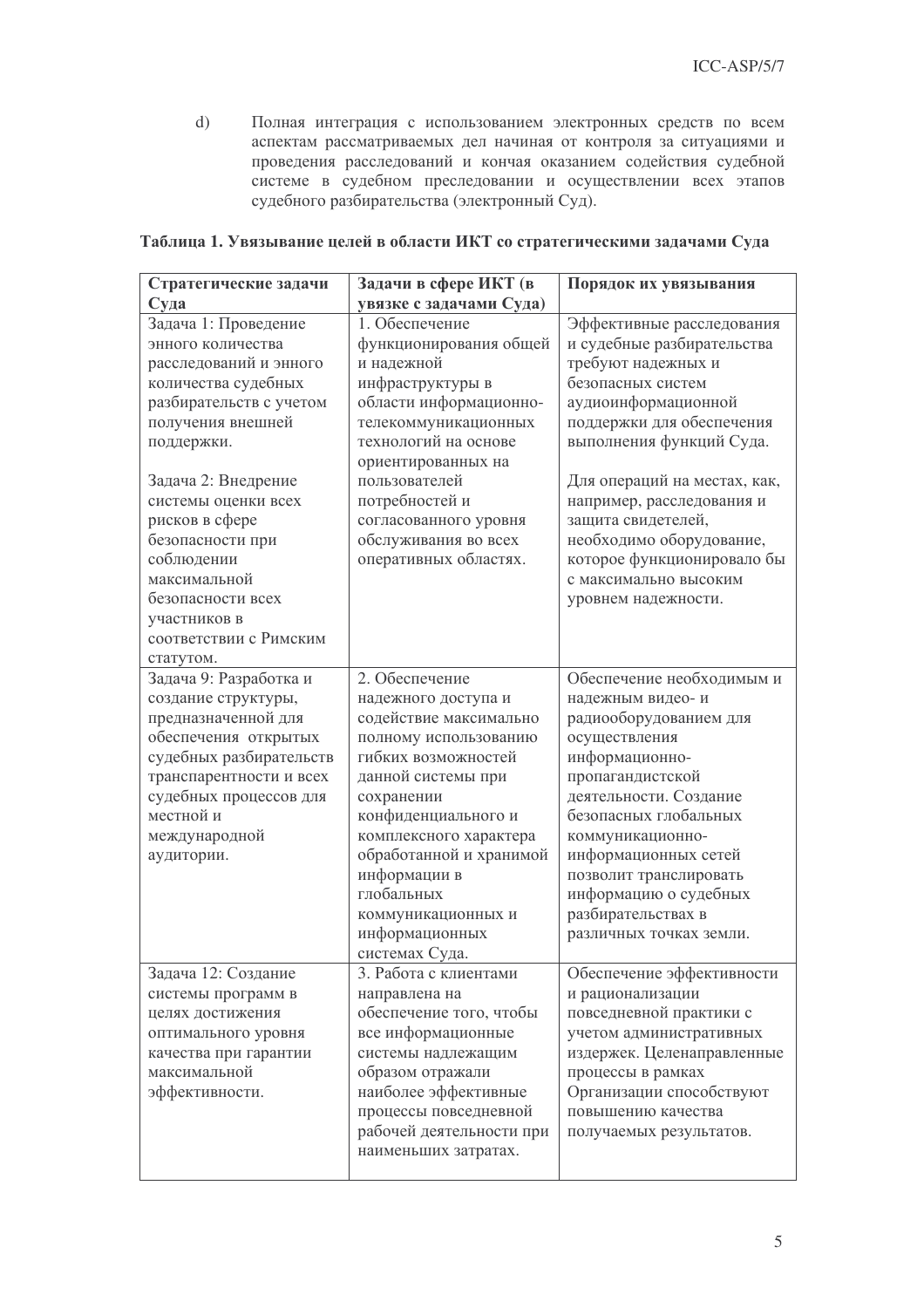$d)$ Полная интеграция с использованием электронных средств по всем аспектам рассматриваемых дел начиная от контроля за ситуациями и проведения расследований и кончая оказанием содействия судебной системе в судебном преследовании и осуществлении всех этапов судебного разбирательства (электронный Суд).

| Стратегические задачи                 | Задачи в сфере ИКТ (в                         | Порядок их увязывания                          |  |
|---------------------------------------|-----------------------------------------------|------------------------------------------------|--|
| Суда                                  | увязке с задачами Суда)                       |                                                |  |
| Задача 1: Проведение                  | 1. Обеспечение                                | Эффективные расследования                      |  |
| энного количества                     | функционирования общей                        | и судебные разбирательства                     |  |
| расследований и энного                | и надежной                                    | требуют надежных и                             |  |
| количества судебных                   | инфраструктуры в                              | безопасных систем                              |  |
| разбирательств с учетом               | области информационно-                        | аудиоинформационной                            |  |
| получения внешней                     | телекоммуникационных                          | поддержки для обеспечения                      |  |
| поддержки.                            | технологий на основе                          | выполнения функций Суда.                       |  |
|                                       | ориентированных на                            |                                                |  |
| Задача 2: Внедрение                   | пользователей                                 | Для операций на местах, как,                   |  |
| системы оценки всех                   | потребностей и                                | например, расследования и                      |  |
| рисков в сфере                        | согласованного уровня                         | защита свидетелей,                             |  |
| безопасности при                      | обслуживания во всех                          | необходимо оборудование,                       |  |
| соблюдении                            | оперативных областях.                         | которое функционировало бы                     |  |
| максимальной                          |                                               | с максимально высоким                          |  |
| безопасности всех                     |                                               | уровнем надежности.                            |  |
| участников в                          |                                               |                                                |  |
| соответствии с Римским                |                                               |                                                |  |
| статутом.                             |                                               |                                                |  |
| Задача 9: Разработка и                | 2. Обеспечение                                | Обеспечение необходимым и                      |  |
| создание структуры,                   | надежного доступа и                           | надежным видео-и                               |  |
| предназначенной для                   | содействие максимально                        | радиооборудованием для                         |  |
| обеспечения открытых                  | полному использованию                         | осуществления                                  |  |
| судебных разбирательств               | гибких возможностей                           | информационно-                                 |  |
| транспарентности и всех               | данной системы при                            | пропагандистской                               |  |
| судебных процессов для                | сохранении                                    | деятельности. Создание                         |  |
| местной и                             | конфиденциального и                           | безопасных глобальных                          |  |
| международной                         | комплексного характера                        | коммуникационно-                               |  |
| аудитории.                            | обработанной и хранимой                       | информационных сетей                           |  |
|                                       | информации в                                  | позволит транслировать                         |  |
|                                       | глобальных                                    | информацию о судебных                          |  |
|                                       | коммуникационных и                            | разбирательствах в                             |  |
|                                       | информационных                                | различных точках земли.                        |  |
|                                       | системах Суда.<br>3. Работа с клиентами       |                                                |  |
| Задача 12: Создание                   |                                               | Обеспечение эффективности                      |  |
| системы программ в                    | направлена на                                 | и рационализации                               |  |
| целях достижения                      | обеспечение того, чтобы                       | повседневной практики с                        |  |
| оптимального уровня                   | все информационные                            | учетом административных                        |  |
| качества при гарантии<br>максимальной | системы надлежащим<br>образом отражали        | издержек. Целенаправленные                     |  |
|                                       |                                               | процессы в рамках                              |  |
| эффективности.                        | наиболее эффективные<br>процессы повседневной | Организации способствуют<br>повышению качества |  |
|                                       | рабочей деятельности при                      |                                                |  |
|                                       |                                               | получаемых результатов.                        |  |
|                                       | наименьших затратах.                          |                                                |  |
|                                       |                                               |                                                |  |

### Таблица 1. Увязывание целей в области ИКТ со стратегическими задачами Суда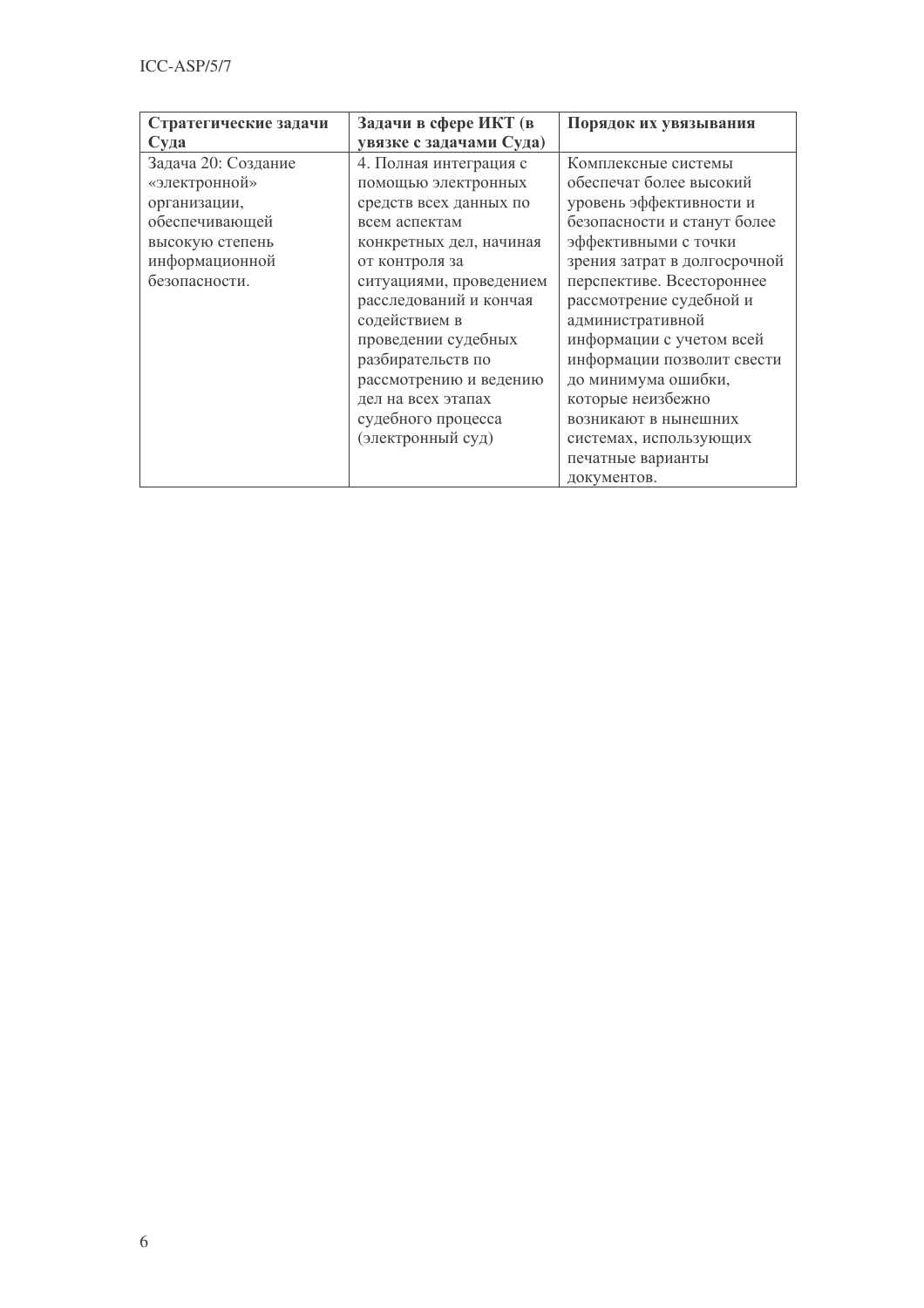| Стратегические задачи | Задачи в сфере ИКТ (в   | Порядок их увязывания        |
|-----------------------|-------------------------|------------------------------|
| Суда                  | увязке с задачами Суда) |                              |
| Задача 20: Создание   | 4. Полная интеграция с  | Комплексные системы          |
| «электронной»         | помощью электронных     | обеспечат более высокий      |
| организации,          | средств всех данных по  | уровень эффективности и      |
| обеспечивающей        | всем аспектам           | безопасности и станут более  |
| высокую степень       | конкретных дел, начиная | эффективными с точки         |
| информационной        | от контроля за          | зрения затрат в долгосрочной |
| безопасности.         | ситуациями, проведением | перспективе. Всестороннее    |
|                       | расследований и кончая  | рассмотрение судебной и      |
|                       | содействием в           | административной             |
|                       | проведении судебных     | информации с учетом всей     |
|                       | разбирательств по       | информации позволит свести   |
|                       | рассмотрению и ведению  | до минимума ошибки,          |
|                       | дел на всех этапах      | которые неизбежно            |
|                       | судебного процесса      | возникают в нынешних         |
|                       | (электронный суд)       | системах, использующих       |
|                       |                         | печатные варианты            |
|                       |                         | документов.                  |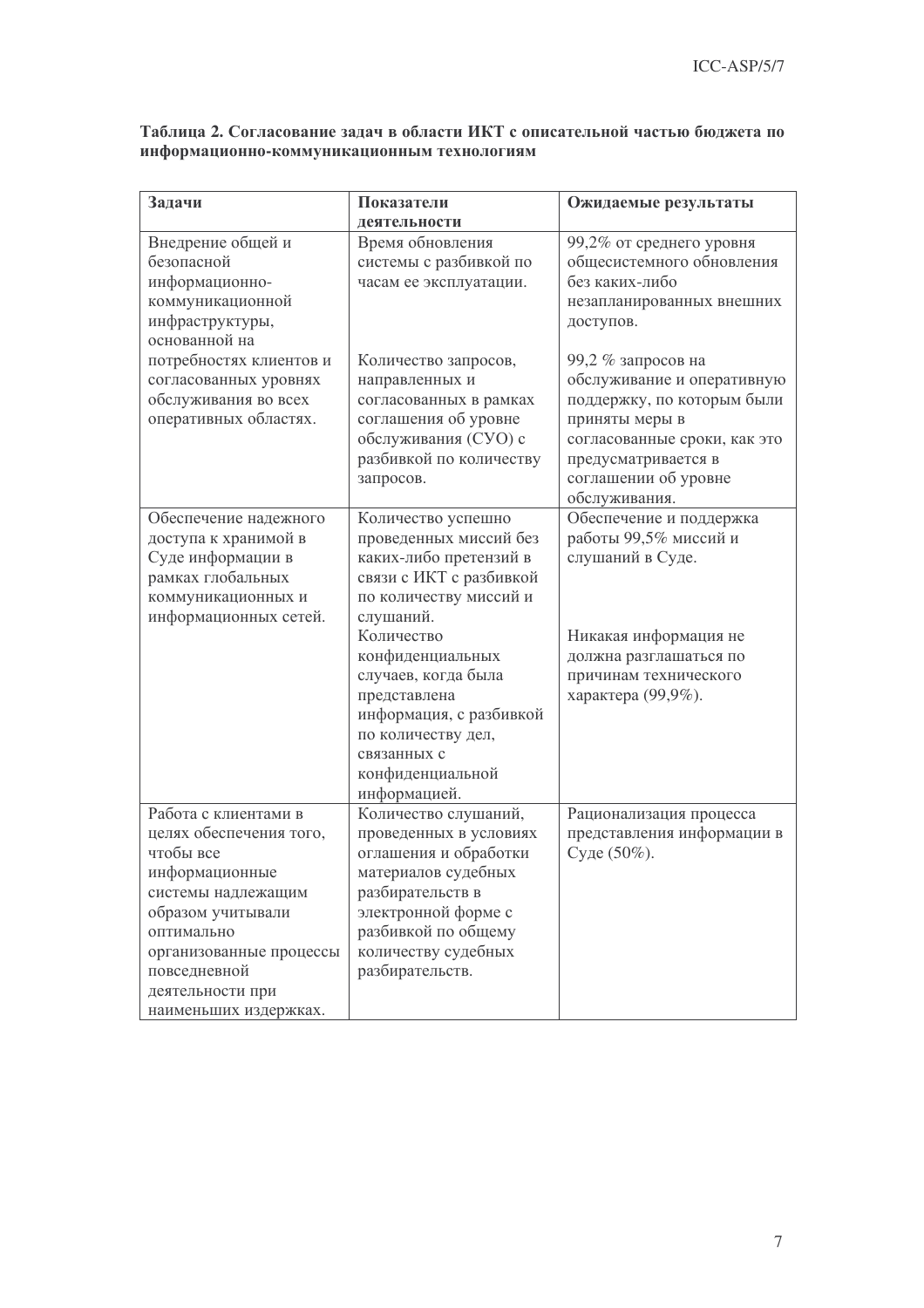| Задачи                  | Показатели                        | Ожидаемые результаты         |  |
|-------------------------|-----------------------------------|------------------------------|--|
|                         | деятельности                      |                              |  |
| Внедрение общей и       | Время обновления                  | 99,2% от среднего уровня     |  |
| безопасной              | системы с разбивкой по            | общесистемного обновления    |  |
| информационно-          | часам ее эксплуатации.            | без каких-либо               |  |
| коммуникационной        |                                   | незапланированных внешних    |  |
| инфраструктуры,         |                                   | доступов.                    |  |
| основанной на           |                                   |                              |  |
| потребностях клиентов и | Количество запросов,              | 99,2 % запросов на           |  |
| согласованных уровнях   | направленных и                    | обслуживание и оперативную   |  |
| обслуживания во всех    | согласованных в рамках            | поддержку, по которым были   |  |
| оперативных областях.   | соглашения об уровне              | приняты меры в               |  |
|                         | обслуживания (СУО) с              | согласованные сроки, как это |  |
|                         | разбивкой по количеству           | предусматривается в          |  |
|                         | запросов.                         | соглашении об уровне         |  |
|                         |                                   | обслуживания.                |  |
| Обеспечение надежного   | Количество успешно                | Обеспечение и поддержка      |  |
| доступа к хранимой в    | проведенных миссий без            | работы 99,5% миссий и        |  |
| Суде информации в       | каких-либо претензий в            | слушаний в Суде.             |  |
| рамках глобальных       | связи с ИКТ с разбивкой           |                              |  |
| коммуникационных и      | по количеству миссий и            |                              |  |
| информационных сетей.   | слушаний.                         |                              |  |
|                         | Количество                        | Никакая информация не        |  |
|                         | конфиденциальных                  | должна разглашаться по       |  |
|                         | случаев, когда была               | причинам технического        |  |
|                         | представлена                      | характера (99,9%).           |  |
|                         | информация, с разбивкой           |                              |  |
|                         | по количеству дел,<br>связанных с |                              |  |
|                         | конфиденциальной                  |                              |  |
|                         | информацией.                      |                              |  |
| Работа с клиентами в    | Количество слушаний,              | Рационализация процесса      |  |
| целях обеспечения того, | проведенных в условиях            | представления информации в   |  |
| чтобы все               | оглашения и обработки             | Суде (50%).                  |  |
| информационные          | материалов судебных               |                              |  |
| системы надлежащим      | разбирательств в                  |                              |  |
| образом учитывали       | электронной форме с               |                              |  |
| оптимально              | разбивкой по общему               |                              |  |
| организованные процессы | количеству судебных               |                              |  |
| повседневной            | разбирательств.                   |                              |  |
| деятельности при        |                                   |                              |  |
| наименьших излержках.   |                                   |                              |  |

## Таблица 2. Согласование задач в области ИКТ с описательной частью бюджета по информационно-коммуникационным технологиям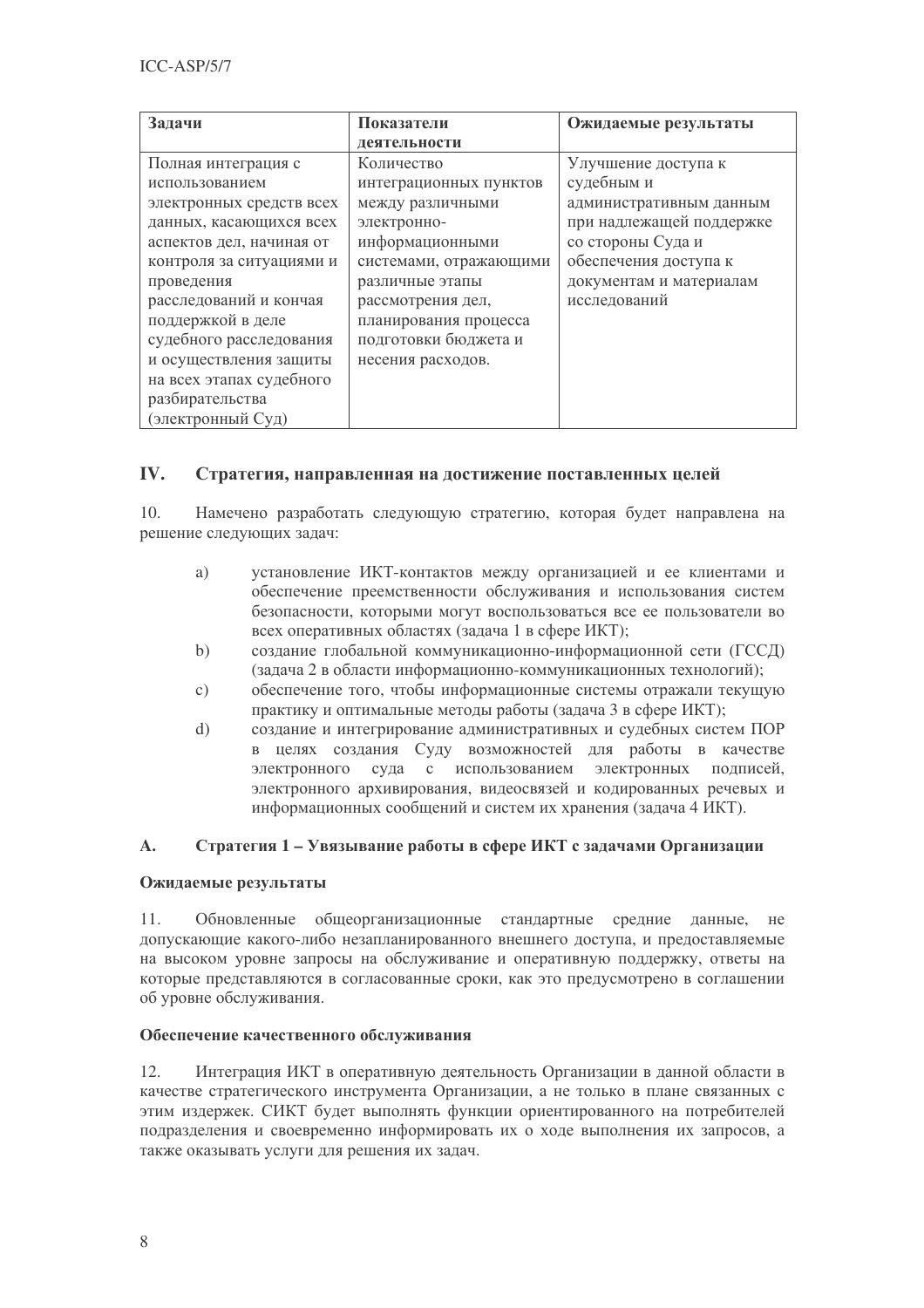| Задачи                   | Показатели             | Ожидаемые результаты     |  |  |
|--------------------------|------------------------|--------------------------|--|--|
|                          | деятельности           |                          |  |  |
| Полная интеграция с      | Количество             | Улучшение доступа к      |  |  |
| использованием           | интеграционных пунктов | судебным и               |  |  |
| электронных средств всех | между различными       | административным данным  |  |  |
| данных, касающихся всех  | электронно-            | при надлежащей поддержке |  |  |
| аспектов дел, начиная от | информационными        | со стороны Суда и        |  |  |
| контроля за ситуациями и | системами, отражающими | обеспечения доступа к    |  |  |
| проведения               | различные этапы        | документам и материалам  |  |  |
| расследований и кончая   | рассмотрения дел,      | исследований             |  |  |
| поддержкой в деле        | планирования процесса  |                          |  |  |
| судебного расследования  | подготовки бюджета и   |                          |  |  |
| и осуществления защиты   | несения расходов.      |                          |  |  |
| на всех этапах судебного |                        |                          |  |  |
| разбирательства          |                        |                          |  |  |
| (электронный Суд)        |                        |                          |  |  |

#### IV. Стратегия, направленная на достижение поставленных целей

 $10<sub>1</sub>$ Намечено разработать следующую стратегию, которая будет направлена на решение следующих задач:

- установление ИКТ-контактов между организацией и ее клиентами и  $\overline{a}$ обеспечение преемственности обслуживания и использования систем безопасности, которыми могут воспользоваться все ее пользователи во всех оперативных областях (задача 1 в сфере ИКТ);
- $h)$ создание глобальной коммуникационно-информационной сети (ГССД) (задача 2 в области информационно-коммуникационных технологий);
- обеспечение того, чтобы информационные системы отражали текущую  $c)$ практику и оптимальные методы работы (задача 3 в сфере ИКТ);
- создание и интегрирование административных и судебных систем ПОР  $\mathbf{d}$ в целях создания Суду возможностей для работы в качестве электронного суда с использованием электронных подписей, электронного архивирования, видеосвязей и кодированных речевых и информационных сообщений и систем их хранения (задача 4 ИКТ).

#### Стратегия 1 – Увязывание работы в сфере ИКТ с задачами Организации  $\mathbf{A}$ .

### Ожидаемые результаты

 $11$ Обновленные общеорганизационные стандартные средние данные,  $He$ допускающие какого-либо незапланированного внешнего доступа, и предоставляемые на высоком уровне запросы на обслуживание и оперативную поддержку, ответы на которые представляются в согласованные сроки, как это предусмотрено в соглашении об уровне обслуживания.

### Обеспечение качественного обслуживания

 $12.$ Интеграция ИКТ в оперативную деятельность Организации в данной области в качестве стратегического инструмента Организации, а не только в плане связанных с этим издержек. СИКТ будет выполнять функции ориентированного на потребителей подразделения и своевременно информировать их о ходе выполнения их запросов, а также оказывать услуги для решения их задач.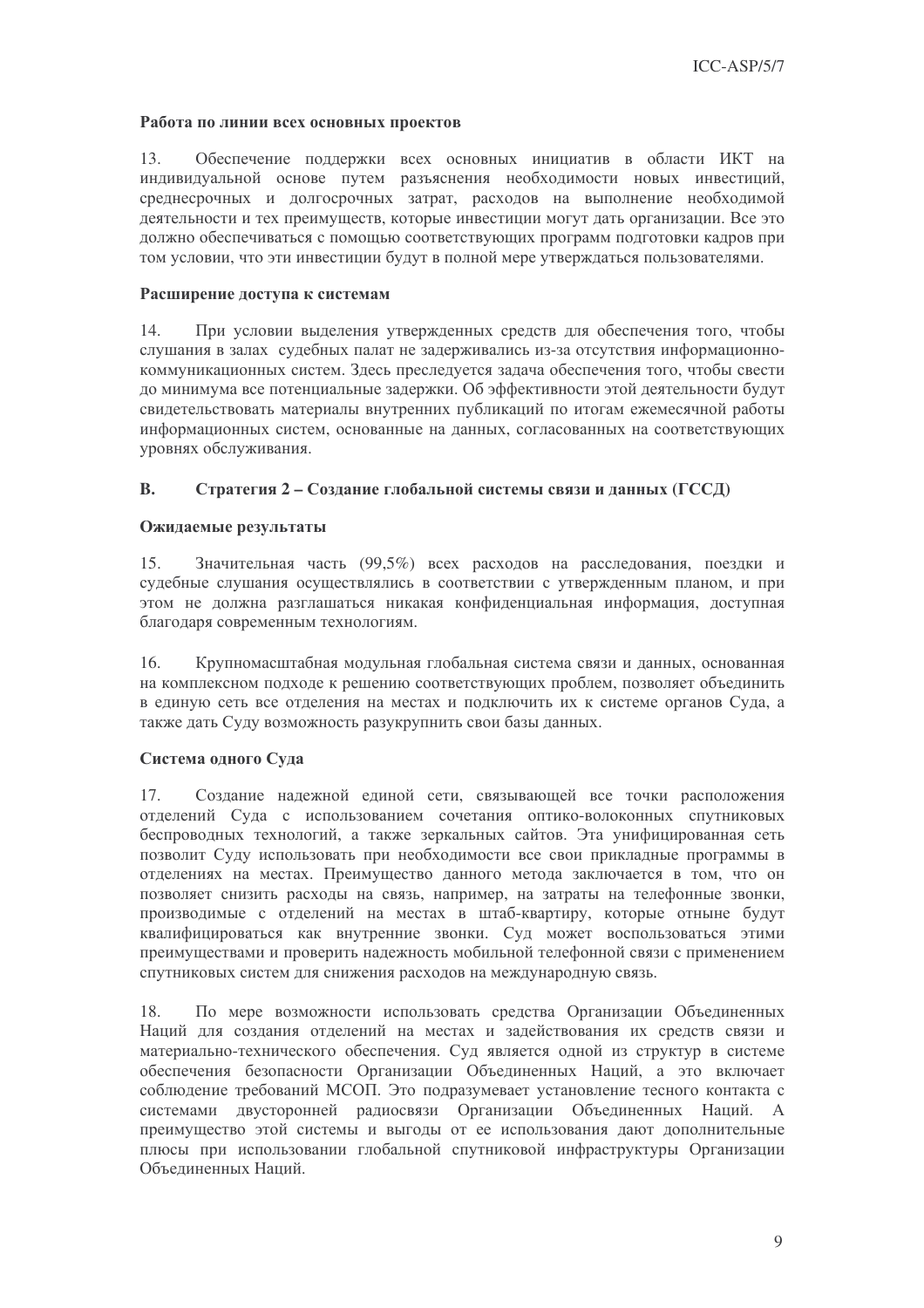#### Работа по линии всех основных проектов

 $13$ Обеспечение поддержки всех основных инициатив в области ИКТ на индивидуальной основе путем разъяснения необходимости новых инвестиций, среднесрочных и долгосрочных затрат, расходов на выполнение необходимой леятельности и тех преимуществ, которые инвестиции могут дать организации. Все это должно обеспечиваться с помощью соответствующих программ подготовки кадров при том условии, что эти инвестиции будут в полной мере утверждаться пользователями.

### Расширение доступа к системам

При условии выделения утвержденных средств для обеспечения того, чтобы 14. слушания в залах судебных палат не задерживались из-за отсутствия информационнокоммуникационных систем. Злесь преследуется задача обеспечения того, чтобы свести до минимума все потенциальные задержки. Об эффективности этой деятельности будут свидетельствовать материалы внутренних публикаций по итогам ежемесячной работы информационных систем, основанные на данных, согласованных на соответствующих уровнях обслуживания.

#### $\mathbf{R}$ . Стратегия 2 – Создание глобальной системы связи и данных (ГССД)

### Ожидаемые результаты

Значительная часть (99,5%) всех расходов на расследования, поездки и 15. судебные слушания осуществлялись в соответствии с утвержденным планом, и при этом не должна разглашаться никакая конфиденциальная информация, доступная благодаря современным технологиям.

 $16<sup>1</sup>$ Крупномасштабная модульная глобальная система связи и данных, основанная на комплексном подходе к решению соответствующих проблем, позволяет объединить в единую сеть все отделения на местах и подключить их к системе органов Суда, а также дать Суду возможность разукрупнить свои базы данных.

### Система одного Суда

Создание надежной единой сети, связывающей все точки расположения  $17.$ отделений Суда с использованием сочетания оптико-волоконных спутниковых беспроводных технологий, а также зеркальных сайтов. Эта унифицированная сеть позволит Суду использовать при необходимости все свои прикладные программы в отделениях на местах. Преимущество данного метода заключается в том, что он позволяет снизить расходы на связь, например, на затраты на телефонные звонки, производимые с отделений на местах в штаб-квартиру, которые отныне будут квалифицироваться как внутренние звонки. Суд может воспользоваться этими преимуществами и проверить надежность мобильной телефонной связи с применением спутниковых систем для снижения расходов на международную связь.

По мере возможности использовать средства Организации Объединенных 18. Наций для создания отделений на местах и задействования их средств связи и материально-технического обеспечения. Суд является одной из структур в системе обеспечения безопасности Организации Объединенных Наций, а это включает соблюдение требований МСОП. Это подразумевает установление тесного контакта с системами двусторонней радиосвязи Организации Объединенных Наций. А преимущество этой системы и выгоды от ее использования дают дополнительные плюсы при использовании глобальной спутниковой инфраструктуры Организации Объелиненных Напий.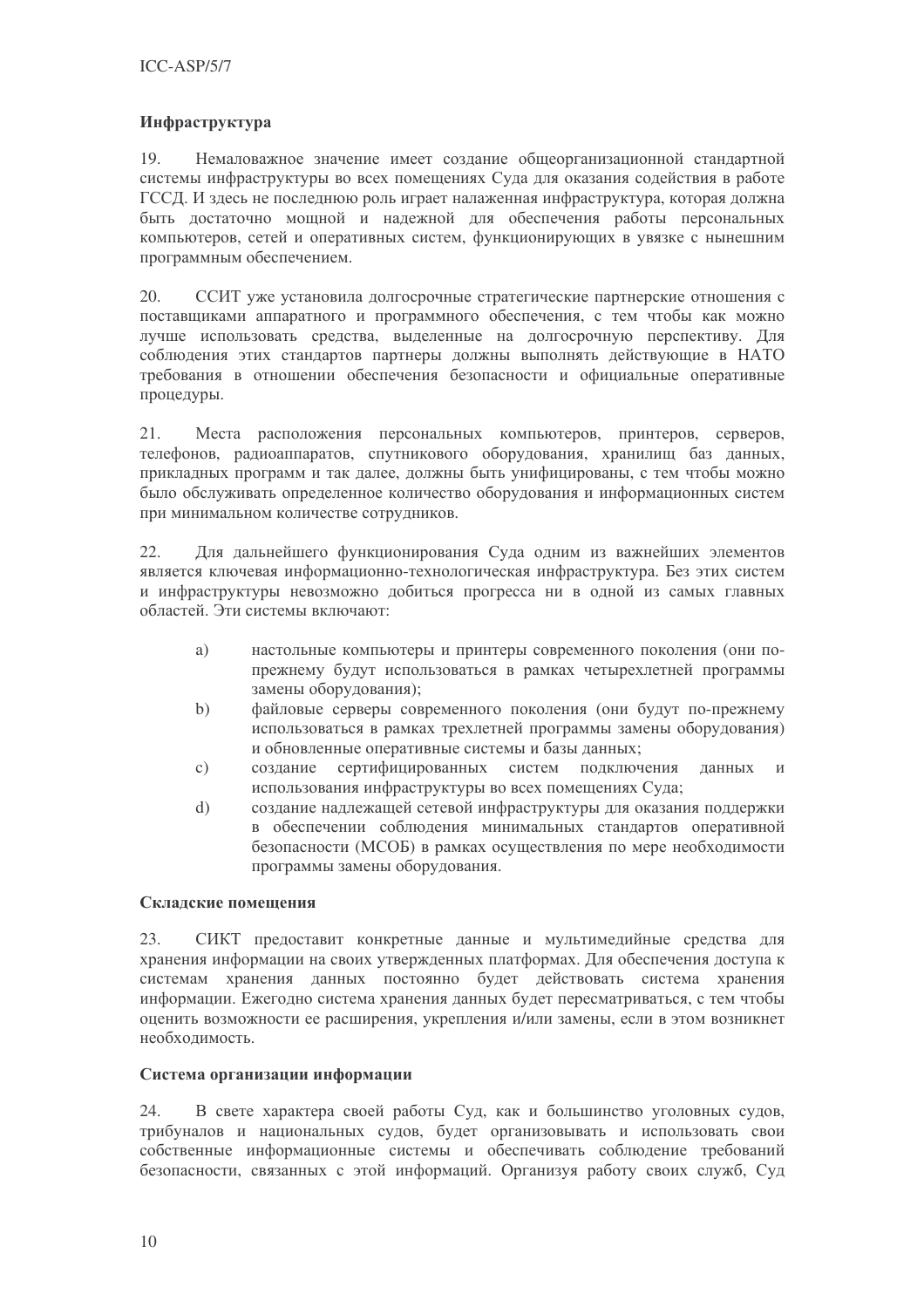### Инфраструктура

19. Немаловажное значение имеет создание общеорганизационной стандартной системы инфраструктуры во всех помещениях Суда для оказания содействия в работе ГССД. И здесь не последнюю роль играет налаженная инфраструктура, которая должна быть достаточно мощной и надежной для обеспечения работы персональных компьютеров, сетей и оперативных систем, функционирующих в увязке с нынешним программным обеспечением.

20. ССИТ уже установила долгосрочные стратегические партнерские отношения с поставщиками аппаратного и программного обеспечения, с тем чтобы как можно лучше использовать средства, выделенные на долгосрочную перспективу. Для соблюдения этих стандартов партнеры должны выполнять действующие в НАТО требования в отношении обеспечения безопасности и официальные оперативные процедуры.

 $21.$ Места расположения персональных компьютеров, принтеров, серверов, телефонов, радиоаппаратов, спутникового оборудования, хранилищ баз данных, прикладных программ и так далее, должны быть унифицированы, с тем чтобы можно было обслуживать определенное количество оборудования и информационных систем при минимальном количестве сотрудников.

 $22.$ Для дальнейшего функционирования Суда одним из важнейших элементов является ключевая информационно-технологическая инфраструктура. Без этих систем и инфраструктуры невозможно добиться прогресса ни в одной из самых главных областей. Эти системы включают:

- настольные компьютеры и принтеры современного поколения (они поa) прежнему будут использоваться в рамках четырехлетней программы замены оборудования);
- файловые серверы современного поколения (они будут по-прежнему  $b)$ использоваться в рамках трехлетней программы замены оборудования) и обновленные оперативные системы и базы данных;
- $\mathcal{C}$ ) создание сертифицированных систем подключения ланных  $\overline{M}$ использования инфраструктуры во всех помещениях Суда;
- создание надлежащей сетевой инфраструктуры для оказания поддержки  $d)$ в обеспечении соблюдения минимальных стандартов оперативной безопасности (МСОБ) в рамках осуществления по мере необходимости программы замены оборудования.

### Складские помешения

СИКТ предоставит конкретные данные и мультимедийные средства для 23. хранения информации на своих утвержденных платформах. Для обеспечения доступа к системам хранения данных постоянно будет действовать система хранения информации. Ежегодно система хранения данных будет пересматриваться, с тем чтобы оценить возможности ее расширения, укрепления и/или замены, если в этом возникнет необхолимость.

### Система организации информации

В свете характера своей работы Суд, как и большинство уголовных судов, 24. трибуналов и национальных судов, будет организовывать и использовать свои собственные информационные системы и обеспечивать соблюдение требований безопасности, связанных с этой информаций. Организуя работу своих служб, Суд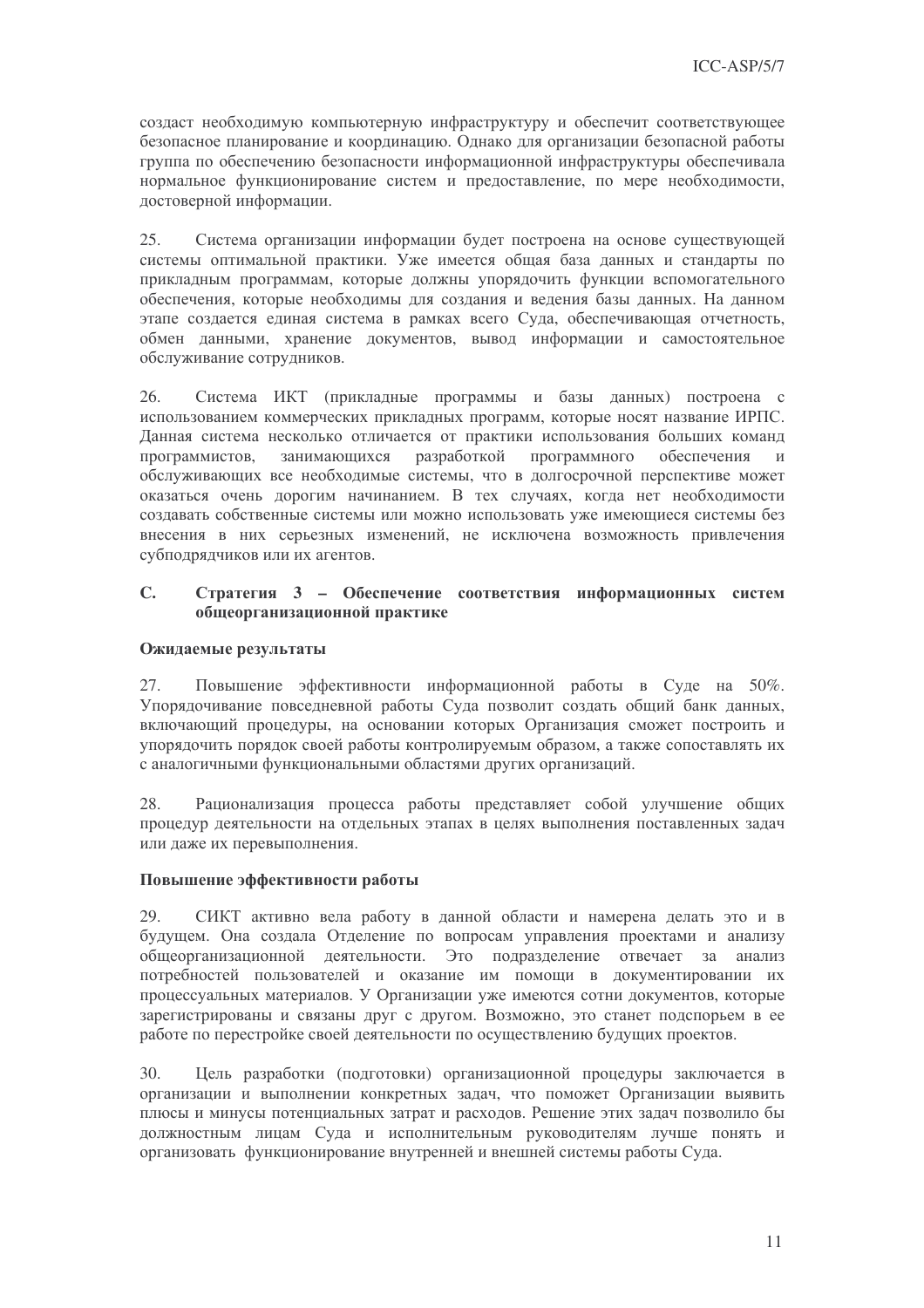создаст необходимую компьютерную инфраструктуру и обеспечит соответствующее безопасное планирование и координацию. Однако для организации безопасной работы группа по обеспечению безопасности информационной инфраструктуры обеспечивала нормальное функционирование систем и предоставление, по мере необходимости, достоверной информации.

25. Система организации информации будет построена на основе существующей системы оптимальной практики. Уже имеется общая база данных и стандарты по прикладным программам, которые должны упорядочить функции вспомогательного обеспечения, которые необходимы для создания и ведения базы данных. На данном этапе создается единая система в рамках всего Суда, обеспечивающая отчетность, обмен данными, хранение документов, вывод информации и самостоятельное обслуживание сотрудников.

26. Система ИКТ (прикладные программы и базы данных) построена с использованием коммерческих прикладных программ, которые носят название ИРПС. Ланная система несколько отличается от практики использования больших команд разработкой программного программистов. занимающихся обеспечения  $\overline{M}$ обслуживающих все необходимые системы, что в долгосрочной перспективе может оказаться очень дорогим начинанием. В тех случаях, когда нет необходимости создавать собственные системы или можно использовать уже имеющиеся системы без внесения в них серьезных изменений, не исключена возможность привлечения субподрядчиков или их агентов.

#### $C_{\bullet}$ Стратегия 3 - Обеспечение соответствия информационных систем общеорганизационной практике

#### Ожидаемые результаты

Повышение эффективности информационной работы в Суде на 50%. 27. Упорядочивание повседневной работы Суда позволит создать общий банк данных, включающий процедуры, на основании которых Организация сможет построить и упорядочить порядок своей работы контролируемым образом, а также сопоставлять их с аналогичными функциональными областями других организаций.

Рационализация процесса работы представляет собой улучшение общих  $28$ процедур деятельности на отдельных этапах в целях выполнения поставленных задач или даже их перевыполнения.

### Повышение эффективности работы

СИКТ активно вела работу в данной области и намерена делать это и в 29. будущем. Она создала Отделение по вопросам управления проектами и анализу общеорганизационной деятельности. Это подразделение отвечает за анализ потребностей пользователей и оказание им помощи в документировании их процессуальных материалов. У Организации уже имеются сотни документов, которые зарегистрированы и связаны друг с другом. Возможно, это станет подспорьем в ее работе по перестройке своей деятельности по осуществлению будущих проектов.

Цель разработки (подготовки) организационной процедуры заключается в 30. организации и выполнении конкретных задач, что поможет Организации выявить плюсы и минусы потенциальных затрат и расходов. Решение этих задач позволило бы должностным лицам Суда и исполнительным руководителям лучше понять и организовать функционирование внутренней и внешней системы работы Суда.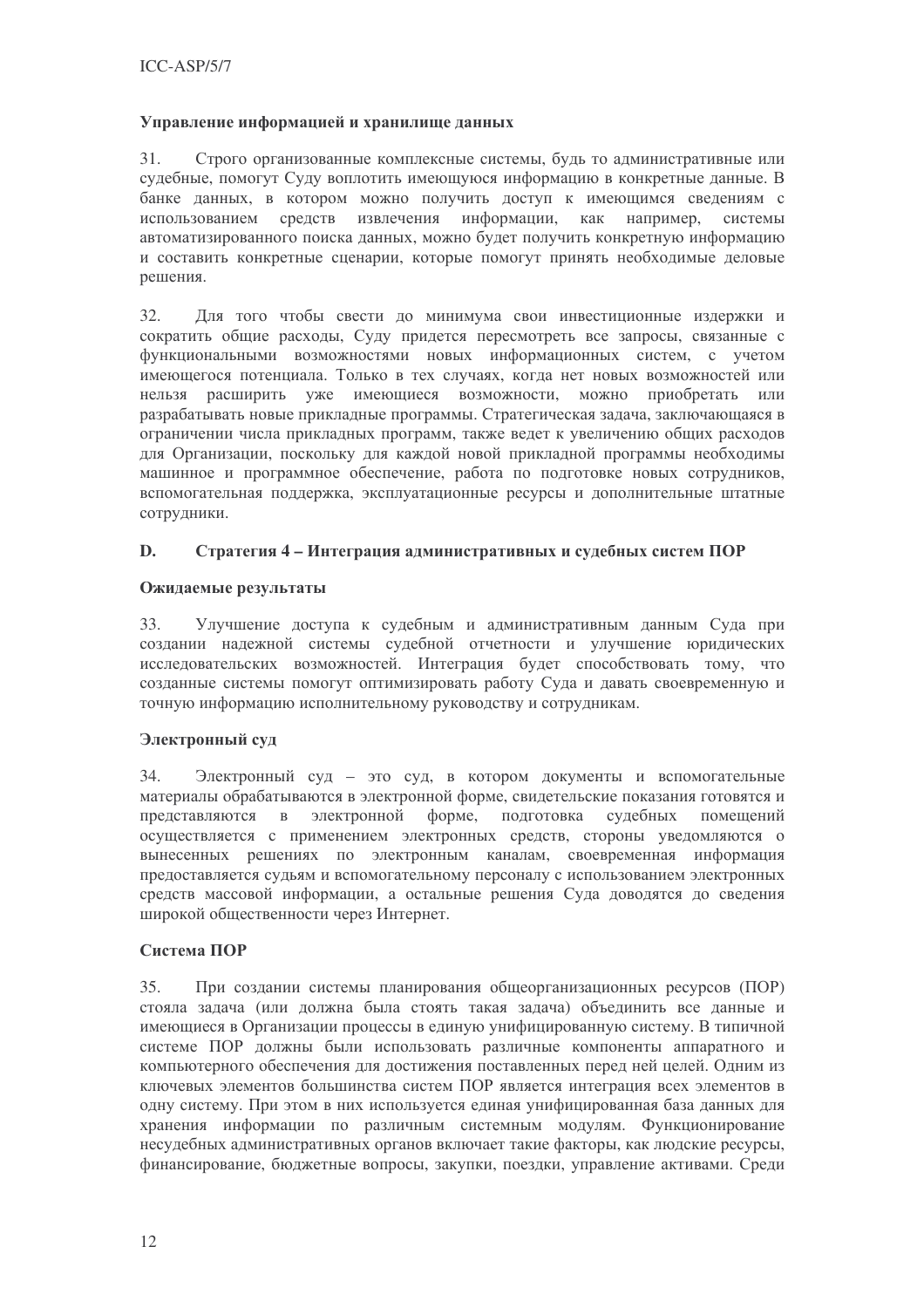### Управление информацией и хранилище данных

 $31.$ Строго организованные комплексные системы, будь то административные или судебные, помогут Суду воплотить имеющуюся информацию в конкретные данные. В банке данных, в котором можно получить доступ к имеющимся сведениям с использованием средств извлечения информации. как например. системы автоматизированного поиска данных, можно будет получить конкретную информацию и составить конкретные сценарии, которые помогут принять необходимые деловые решения.

32. Для того чтобы свести до минимума свои инвестиционные издержки и сократить общие расходы, Суду придется пересмотреть все запросы, связанные с функциональными возможностями новых информационных систем, с учетом имеющегося потенциала. Только в тех случаях, когда нет новых возможностей или нельзя расширить уже имеющиеся возможности, можно приобретать или разрабатывать новые прикладные программы. Стратегическая задача, заключающаяся в ограничении числа прикладных программ, также ведет к увеличению общих расходов для Организации, поскольку для каждой новой прикладной программы необходимы машинное и программное обеспечение, работа по подготовке новых сотрудников, вспомогательная поддержка, эксплуатационные ресурсы и дополнительные штатные сотрудники.

#### D. Стратегия 4 - Интеграция административных и судебных систем ПОР

### Ожилаемые результаты

Улучшение доступа к судебным и административным данным Суда при 33. создании надежной системы судебной отчетности и улучшение юридических исследовательских возможностей. Интеграция будет способствовать тому, что созданные системы помогут оптимизировать работу Суда и давать своевременную и точную информацию исполнительному руководству и сотрудникам.

### Электронный суд

34. Электронный суд - это суд, в котором документы и вспомогательные материалы обрабатываются в электронной форме, свидетельские показания готовятся и представляются в электронной форме, подготовка судебных помешений осуществляется с применением электронных средств, стороны уведомляются о вынесенных решениях по электронным каналам, своевременная информация предоставляется судьям и вспомогательному персоналу с использованием электронных средств массовой информации, а остальные решения Суда доводятся до сведения широкой общественности через Интернет.

## Система ПОР

35. При создании системы планирования общеорганизационных ресурсов (ПОР) стояла залача (или должна была стоять такая залача) объединить все данные и имеющиеся в Организации процессы в единую унифицированную систему. В типичной системе ПОР должны были использовать различные компоненты аппаратного и компьютерного обеспечения для достижения поставленных перед ней целей. Одним из ключевых элементов большинства систем ПОР является интеграция всех элементов в одну систему. При этом в них используется единая унифицированная база данных для хранения информации по различным системным модулям. Функционирование несудебных административных органов включает такие факторы, как людские ресурсы, финансирование, бюджетные вопросы, закупки, поездки, управление активами. Среди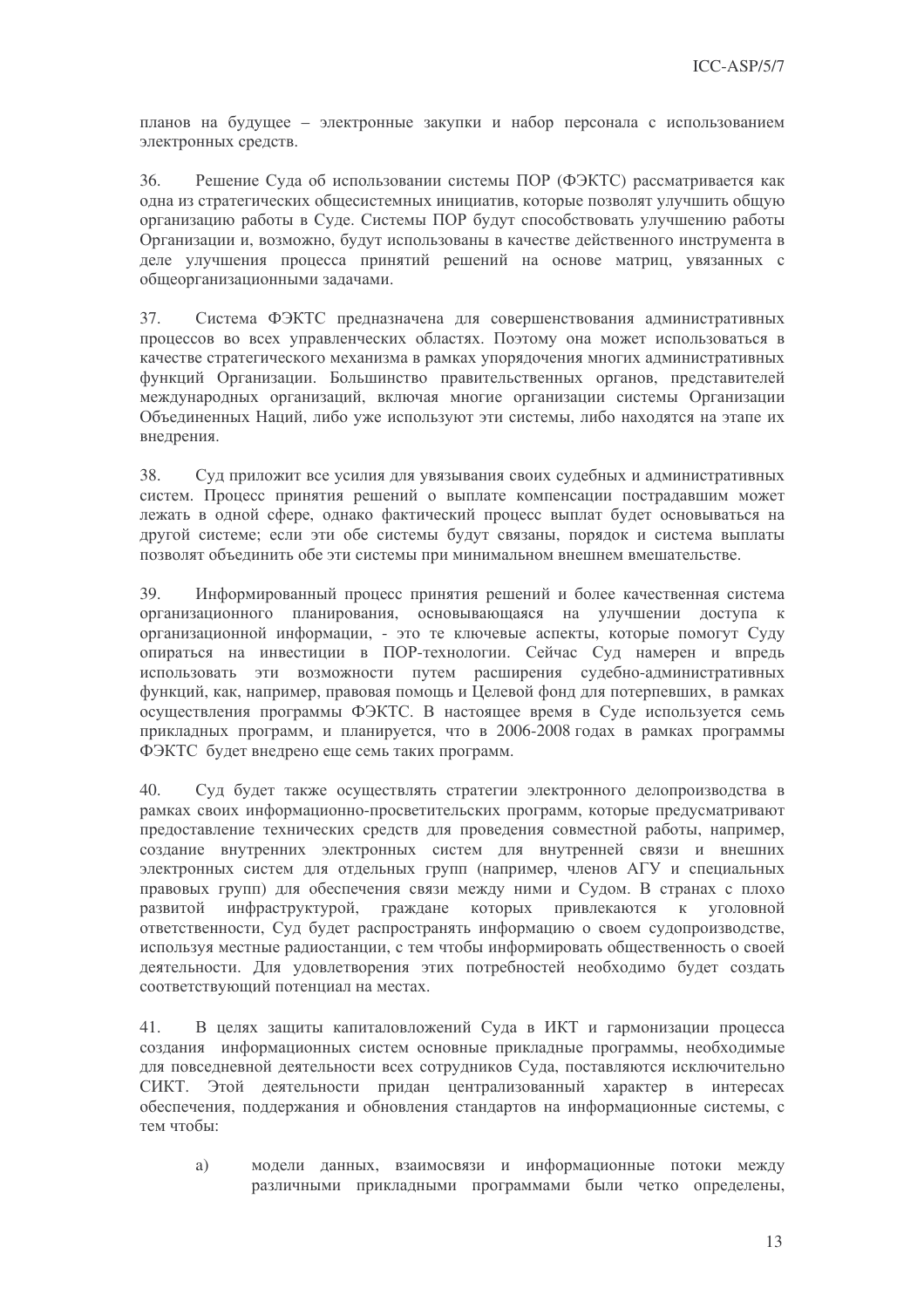планов на будущее - электронные закупки и набор персонала с использованием электронных средств.

36. Решение Суда об использовании системы ПОР (ФЭКТС) рассматривается как одна из стратегических общесистемных инициатив, которые позволят улучшить общую организацию работы в Суде. Системы ПОР будут способствовать улучшению работы Организации и, возможно, будут использованы в качестве действенного инструмента в деле улучшения процесса принятий решений на основе матриц, увязанных с общеорганизационными задачами.

37 Система ФЭКТС предназначена для совершенствования административных процессов во всех управленческих областях. Поэтому она может использоваться в качестве стратегического механизма в рамках упорядочения многих административных функций Организации. Большинство правительственных органов, представителей международных организаций, включая многие организации системы Организации Объединенных Наций, либо уже используют эти системы, либо находятся на этапе их внелрения.

38. Суд приложит все усилия для увязывания своих судебных и административных систем. Процесс принятия решений о выплате компенсации пострадавшим может лежать в одной сфере, однако фактический процесс выплат будет основываться на другой системе; если эти обе системы будут связаны, порядок и система выплаты позволят объединить обе эти системы при минимальном внешнем вмешательстве.

Информированный процесс принятия решений и более качественная система 39. организационного планирования, основывающаяся на улучшении доступа к организационной информации, - это те ключевые аспекты, которые помогут Суду опираться на инвестиции в ПОР-технологии. Сейчас Суд намерен и впредь использовать эти возможности путем расширения судебно-административных функций, как, например, правовая помощь и Целевой фонд для потерпевших, в рамках осуществления программы ФЭКТС. В настоящее время в Суде используется семь прикладных программ, и планируется, что в 2006-2008 годах в рамках программы ФЭКТС будет внедрено еще семь таких программ.

Суд будет также осуществлять стратегии электронного делопроизводства в  $40.$ рамках своих информационно-просветительских программ, которые предусматривают предоставление технических средств для проведения совместной работы, например, создание внутренних электронных систем для внутренней связи и внешних электронных систем для отдельных групп (например, членов АГУ и специальных правовых групп) для обеспечения связи между ними и Судом. В странах с плохо граждане которых привлекаются к уголовной развитой инфраструктурой, ответственности. Суд будет распространять информацию о своем судопроизводстве, используя местные радиостанции, с тем чтобы информировать общественность о своей деятельности. Для удовлетворения этих потребностей необходимо будет создать соответствующий потенциал на местах.

В целях защиты капиталовложений Суда в ИКТ и гармонизации процесса  $41.$ создания информационных систем основные прикладные программы, необходимые для повседневной деятельности всех сотрудников Суда, поставляются исключительно СИКТ. Этой деятельности придан централизованный характер в интересах обеспечения, поддержания и обновления стандартов на информационные системы, с тем чтобы:

a) модели данных, взаимосвязи и информационные потоки между различными прикладными программами были четко определены,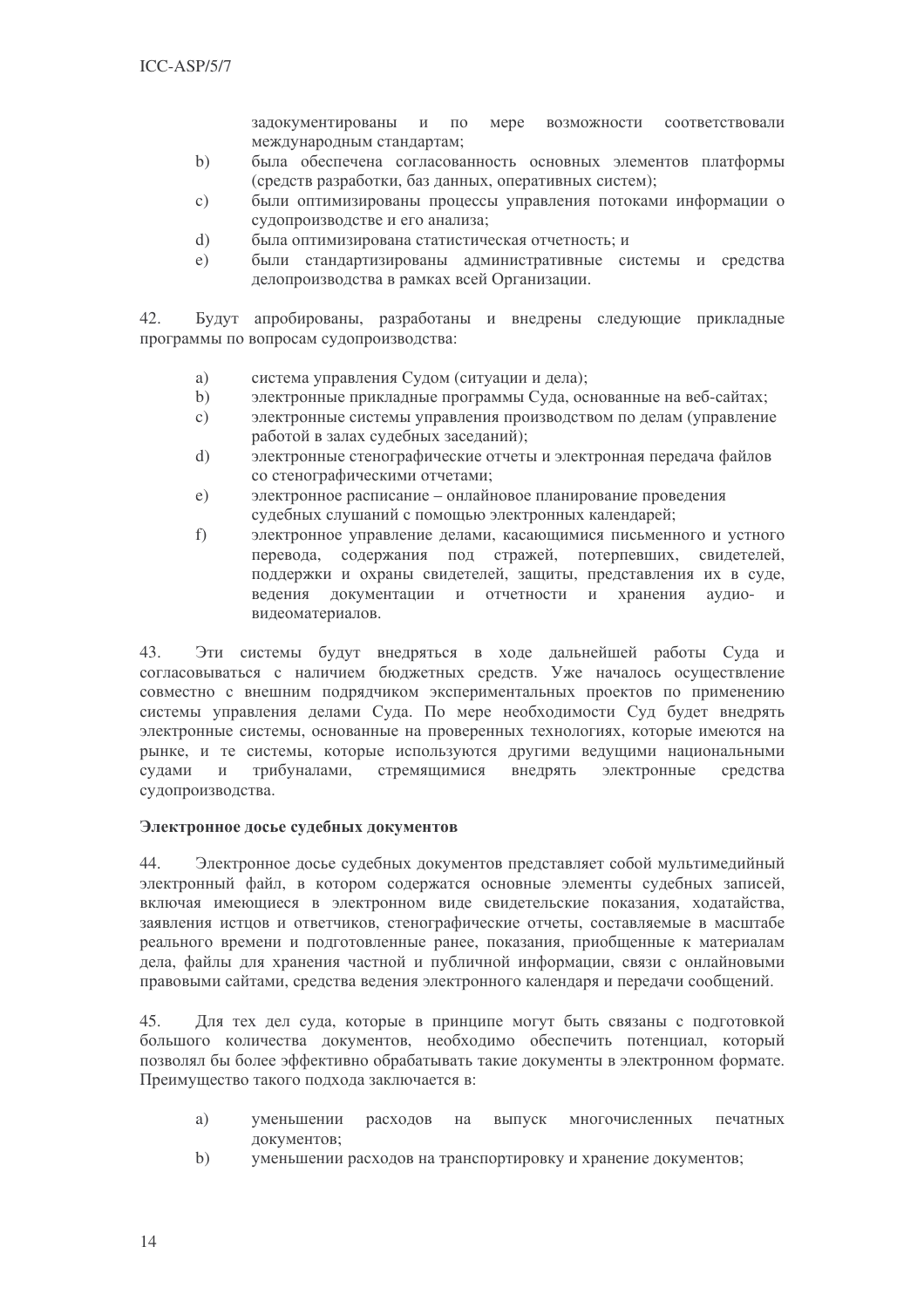задокументированы и по Mepe возможности соответствовали международным стандартам;

- была обеспечена согласованность основных элементов платформы  $b)$ (средств разработки, баз данных, оперативных систем);
- были оптимизированы процессы управления потоками информации о  $\mathcal{C}$ ) судопроизводстве и его анализа;
- $\mathbf{d}$ была оптимизирована статистическая отчетность; и
- были стандартизированы административные системы и средства  $e)$ делопроизводства в рамках всей Организации.

Будут апробированы, разработаны и внедрены следующие прикладные 42. программы по вопросам судопроизводства:

- a) система управления Судом (ситуации и дела);
- $b)$ электронные прикладные программы Суда, основанные на веб-сайтах;
- электронные системы управления производством по делам (управление  $\mathbf{c})$ работой в залах судебных заселаний):
- электронные стенографические отчеты и электронная передача файлов  $d)$ со стенографическими отчетами;
- электронное расписание онлайновое планирование проведения  $e)$ судебных слушаний с помощью электронных календарей;
- электронное управление делами, касающимися письменного и устного  $f$ ) перевода, содержания под стражей, потерпевших, свидетелей, поддержки и охраны свидетелей, защиты, представления их в суде, веления документации и отчетности и хранения аудио- и видеоматериалов.

43. Эти системы будут внедряться в ходе дальнейшей работы Суда и согласовываться с наличием бюджетных средств. Уже началось осуществление совместно с внешним подрядчиком экспериментальных проектов по применению системы управления делами Суда. По мере необходимости Суд будет внедрять электронные системы, основанные на проверенных технологиях, которые имеются на рынке, и те системы, которые используются другими ведущими национальными трибуналами. стремящимися внедрять сулами  $\mathbf{M}$ электронные средства судопроизводства.

#### Электронное досье судебных документов

44. Электронное досье судебных документов представляет собой мультимедийный электронный файл, в котором содержатся основные элементы судебных записей, включая имеющиеся в электронном виде свидетельские показания, ходатайства, заявления истцов и ответчиков, стенографические отчеты, составляемые в масштабе реального времени и подготовленные ранее, показания, приобщенные к материалам дела, файлы для хранения частной и публичной информации, связи с онлайновыми правовыми сайтами, средства ведения электронного календаря и передачи сообщений.

45. Для тех дел суда, которые в принципе могут быть связаны с подготовкой большого количества документов, необходимо обеспечить потенциал, который позволял бы более эффективно обрабатывать такие документы в электронном формате. Преимущество такого подхода заключается в:

- уменьшении на выпуск многочисленных a) расходов печатных документов:
- $b)$ уменьшении расходов на транспортировку и хранение документов;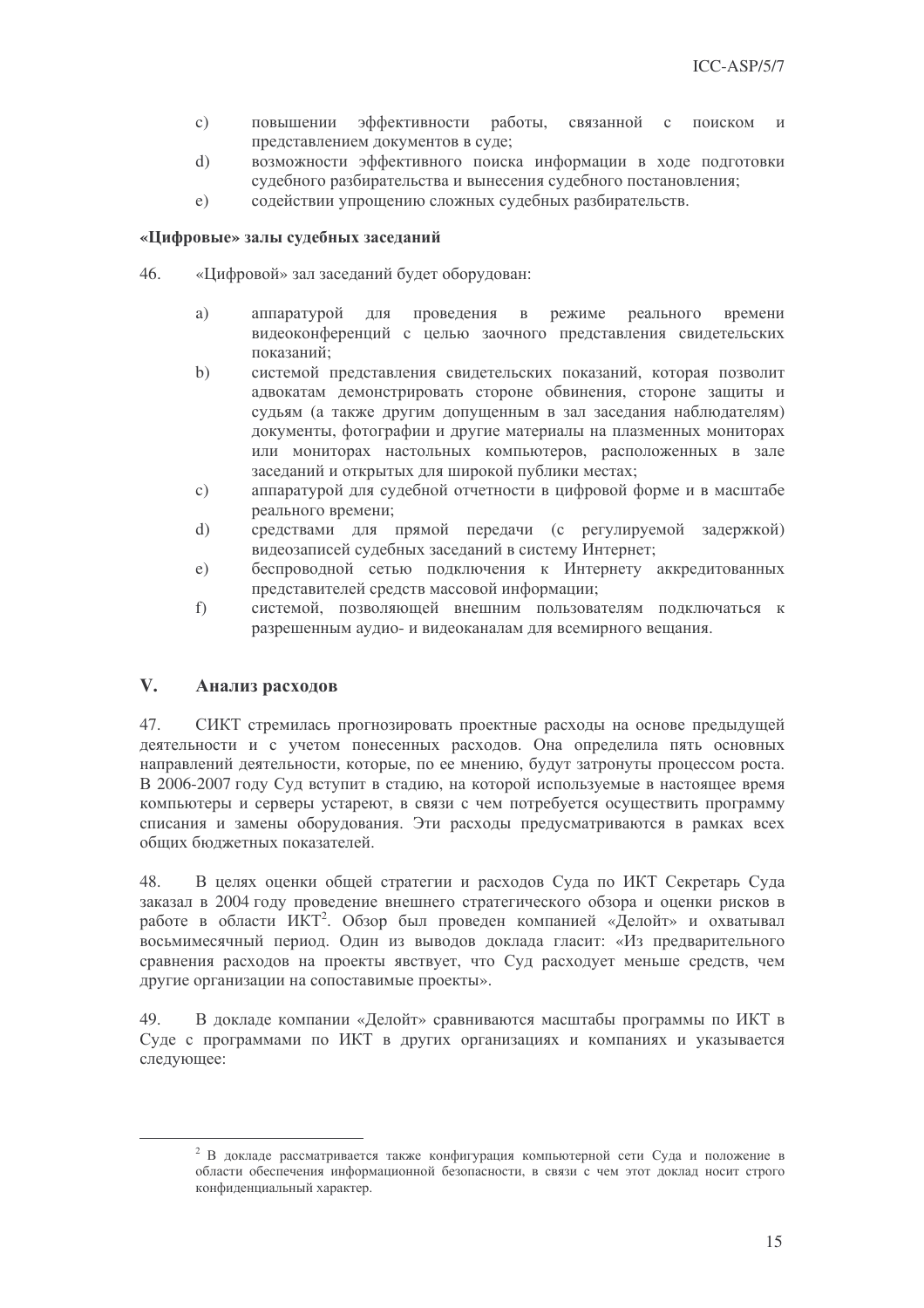- повышении эффективности работы, связанной  $\mathbf{c})$  $\mathbf{c}$ поиском представлением документов в суде;
- возможности эффективного поиска информации в ходе подготовки  $d)$ судебного разбирательства и вынесения судебного постановления;
- содействии упрощению сложных судебных разбирательств.  $\epsilon$ )

#### «Цифровые» залы судебных заседаний

- 46. «Цифровой» зал заседаний будет оборудован:
	- a) аппаратурой ДЛЯ проведения в режиме реального времени видеоконференций с целью заочного представления свидетельских показаний:
	- системой представления свидетельских показаний, которая позволит  $h)$ адвокатам демонстрировать стороне обвинения, стороне защиты и судьям (а также другим допущенным в зал заседания наблюдателям) документы, фотографии и другие материалы на плазменных мониторах или мониторах настольных компьютеров, расположенных в зале заселаний и открытых лля широкой публики местах:
	- аппаратурой для судебной отчетности в цифровой форме и в масштабе  $c)$ реального времени:
	- $\overline{d}$ средствами для прямой передачи (с регулируемой задержкой) видеозаписей судебных заселаний в систему Интернет:
	- беспроводной сетью подключения к Интернету аккредитованных  $e)$ представителей средств массовой информации;
	- системой, позволяющей внешним пользователям подключаться к  $f$ ) разрешенным аудио- и видеоканалам для всемирного вещания.

#### $V_{\bullet}$ Анализ расходов

47. СИКТ стремилась прогнозировать проектные расходы на основе предыдущей деятельности и с учетом понесенных расходов. Она определила пять основных направлений деятельности, которые, по ее мнению, будут затронуты процессом роста. В 2006-2007 году Суд вступит в стадию, на которой используемые в настоящее время компьютеры и серверы устареют, в связи с чем потребуется осуществить программу списания и замены оборудования. Эти расходы предусматриваются в рамках всех общих бюлжетных показателей.

В целях оценки общей стратегии и расходов Суда по ИКТ Секретарь Суда 48 заказал в 2004 году проведение внешнего стратегического обзора и оценки рисков в работе в области ИКТ<sup>2</sup>. Обзор был проведен компанией «Делойт» и охватывал восьмимесячный период. Один из выводов доклада гласит: «Из предварительного сравнения расходов на проекты явствует, что Суд расходует меньше средств, чем другие организации на сопоставимые проекты».

49. В докладе компании «Делойт» сравниваются масштабы программы по ИКТ в Суде с программами по ИКТ в других организациях и компаниях и указывается следующее:

<sup>&</sup>lt;sup>2</sup> В докладе рассматривается также конфигурация компьютерной сети Суда и положение в области обеспечения информационной безопасности, в связи с чем этот доклад носит строго конфиденциальный характер.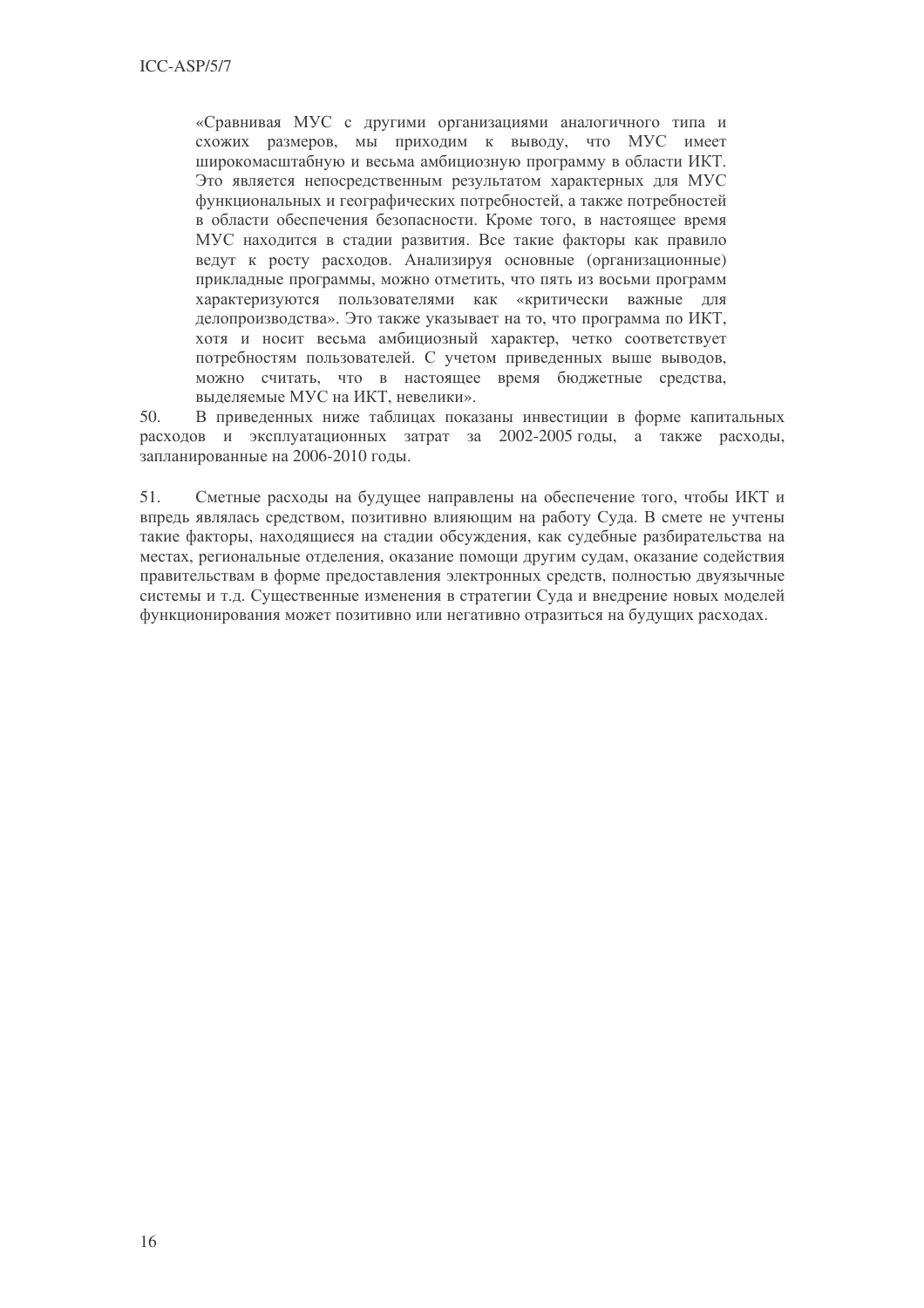«Сравнивая МУС с другими организациями аналогичного типа и схожих размеров, мы приходим к выводу, что МУС имеет широкомасштабную и весьма амбициозную программу в области ИКТ. Это является непосредственным результатом характерных для МУС функциональных и географических потребностей, а также потребностей в области обеспечения безопасности. Кроме того, в настоящее время МУС находится в стадии развития. Все такие факторы как правило ведут к росту расходов. Анализируя основные (организационные) прикладные программы, можно отметить, что пять из восьми программ характеризуются пользователями как «критически важные для делопроизводства». Это также указывает на то, что программа по ИКТ, хотя и носит весьма амбициозный характер, четко соответствует потребностям пользователей. С учетом приведенных выше выводов, можно считать, что в настоящее время бюджетные средства, выделяемые МУС на ИКТ, невелики».

В приведенных ниже таблицах показаны инвестиции в форме капитальных 50. расходов и эксплуатационных затрат за 2002-2005 годы, а также расходы, запланированные на 2006-2010 годы.

51. Сметные расходы на будущее направлены на обеспечение того, чтобы ИКТ и впредь являлась средством, позитивно влияющим на работу Суда. В смете не учтены такие факторы, нахоляшиеся на сталии обсужления, как сулебные разбирательства на местах, региональные отделения, оказание помощи другим судам, оказание содействия правительствам в форме предоставления электронных средств, полностью двуязычные системы и т.д. Существенные изменения в стратегии Суда и внедрение новых моделей функционирования может позитивно или негативно отразиться на будущих расходах.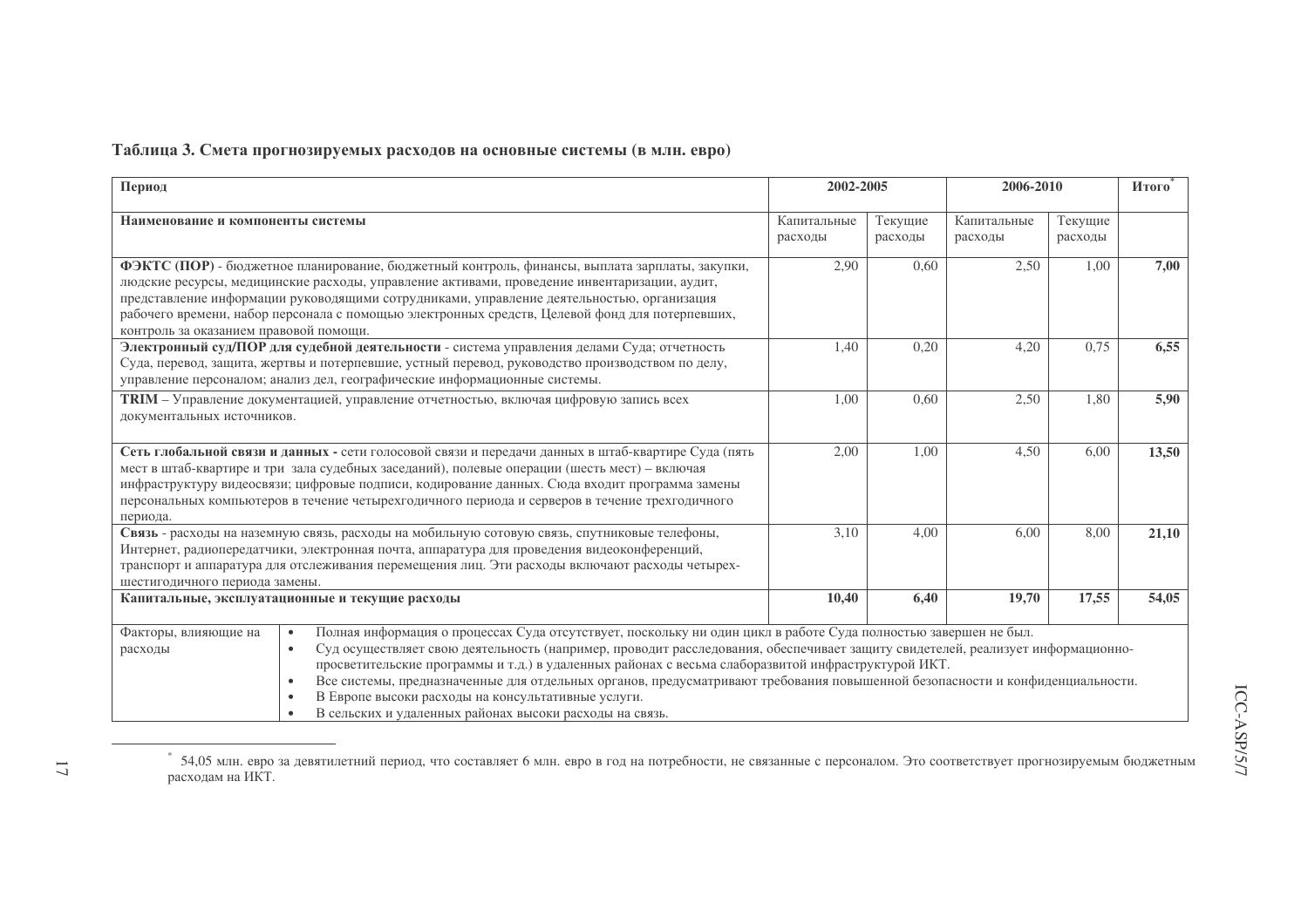## Таблица 3. Смета прогнозируемых расходов на основные системы (в млн. евро)

| Период                                                                                                                                                                                                                                                                                                                         |                                                                                                                                                                                                                                                                                                                                                                                                                                                                                                                                                                                                                                                              | 2002-2005              |                    | 2006-2010              |                    | Итого |
|--------------------------------------------------------------------------------------------------------------------------------------------------------------------------------------------------------------------------------------------------------------------------------------------------------------------------------|--------------------------------------------------------------------------------------------------------------------------------------------------------------------------------------------------------------------------------------------------------------------------------------------------------------------------------------------------------------------------------------------------------------------------------------------------------------------------------------------------------------------------------------------------------------------------------------------------------------------------------------------------------------|------------------------|--------------------|------------------------|--------------------|-------|
| Наименование и компоненты системы                                                                                                                                                                                                                                                                                              |                                                                                                                                                                                                                                                                                                                                                                                                                                                                                                                                                                                                                                                              | Капитальные<br>расходы | Текущие<br>расходы | Капитальные<br>расходы | Текущие<br>расходы |       |
| контроль за оказанием правовой помощи.                                                                                                                                                                                                                                                                                         | ФЭКТС (ПОР) - бюджетное планирование, бюджетный контроль, финансы, выплата зарплаты, закупки,<br>людские ресурсы, медицинские расходы, управление активами, проведение инвентаризации, аудит,<br>представление информации руководящими сотрудниками, управление деятельностью, организация<br>рабочего времени, набор персонала с помощью электронных средств, Целевой фонд для потерпевших,                                                                                                                                                                                                                                                                 | 2,90                   | 0,60               | 2,50                   | 1,00               | 7,00  |
|                                                                                                                                                                                                                                                                                                                                | Электронный суд/ПОР для судебной деятельности - система управления делами Суда; отчетность<br>Суда, перевод, защита, жертвы и потерпевшие, устный перевод, руководство производством по делу,<br>управление персоналом; анализ дел, географические информационные системы.                                                                                                                                                                                                                                                                                                                                                                                   | 1,40                   | 0,20               | 4,20                   | 0,75               | 6,55  |
| документальных источников.                                                                                                                                                                                                                                                                                                     | <b>TRIM</b> - Управление документацией, управление отчетностью, включая цифровую запись всех                                                                                                                                                                                                                                                                                                                                                                                                                                                                                                                                                                 | 1,00                   | 0,60               | 2,50                   | 1,80               | 5,90  |
| периода.                                                                                                                                                                                                                                                                                                                       | Сеть глобальной связи и данных - сети голосовой связи и передачи данных в штаб-квартире Суда (пять<br>мест в штаб-квартире и три зала судебных заседаний), полевые операции (шесть мест) - включая<br>инфраструктуру видеосвязи; цифровые подписи, кодирование данных. Сюда входит программа замены<br>персональных компьютеров в течение четырехгодичного периода и серверов в течение трехгодичного                                                                                                                                                                                                                                                        | 2,00                   | 1,00               | 4,50                   | 6,00               | 13,50 |
| Связь - расходы на наземную связь, расходы на мобильную сотовую связь, спутниковые телефоны,<br>Интернет, радиопередатчики, электронная почта, аппаратура для проведения видеоконференций,<br>транспорт и аппаратура для отслеживания перемещения лиц. Эти расходы включают расходы четырех-<br>шестигодичного периода замены. |                                                                                                                                                                                                                                                                                                                                                                                                                                                                                                                                                                                                                                                              | 3,10                   | 4,00               | 6,00                   | 8,00               | 21,10 |
|                                                                                                                                                                                                                                                                                                                                | Капитальные, эксплуатационные и текущие расходы                                                                                                                                                                                                                                                                                                                                                                                                                                                                                                                                                                                                              | 10,40                  | 6,40               | 19,70                  | 17,55              | 54,05 |
| Факторы, влияющие на<br>расходы                                                                                                                                                                                                                                                                                                | Полная информация о процессах Суда отсутствует, поскольку ни один цикл в работе Суда полностью завершен не был.<br>$\bullet$<br>Суд осуществляет свою деятельность (например, проводит расследования, обеспечивает защиту свидетелей, реализует информационно-<br>$\bullet$<br>просветительские программы и т.д.) в удаленных районах с весьма слаборазвитой инфраструктурой ИКТ.<br>Все системы, предназначенные для отдельных органов, предусматривают требования повышенной безопасности и конфиденциальности.<br>$\bullet$<br>В Европе высоки расходы на консультативные услуги.<br>$\bullet$<br>В сельских и удаленных районах высоки расходы на связь. |                        |                    |                        |                    |       |

<sup>\* 54,05</sup> млн. евро за девятилетний период, что составляет 6 млн. евро в год на потребности, не связанные с персоналом. Это соответствует прогнозируемым бюджетным расходам на ИКТ.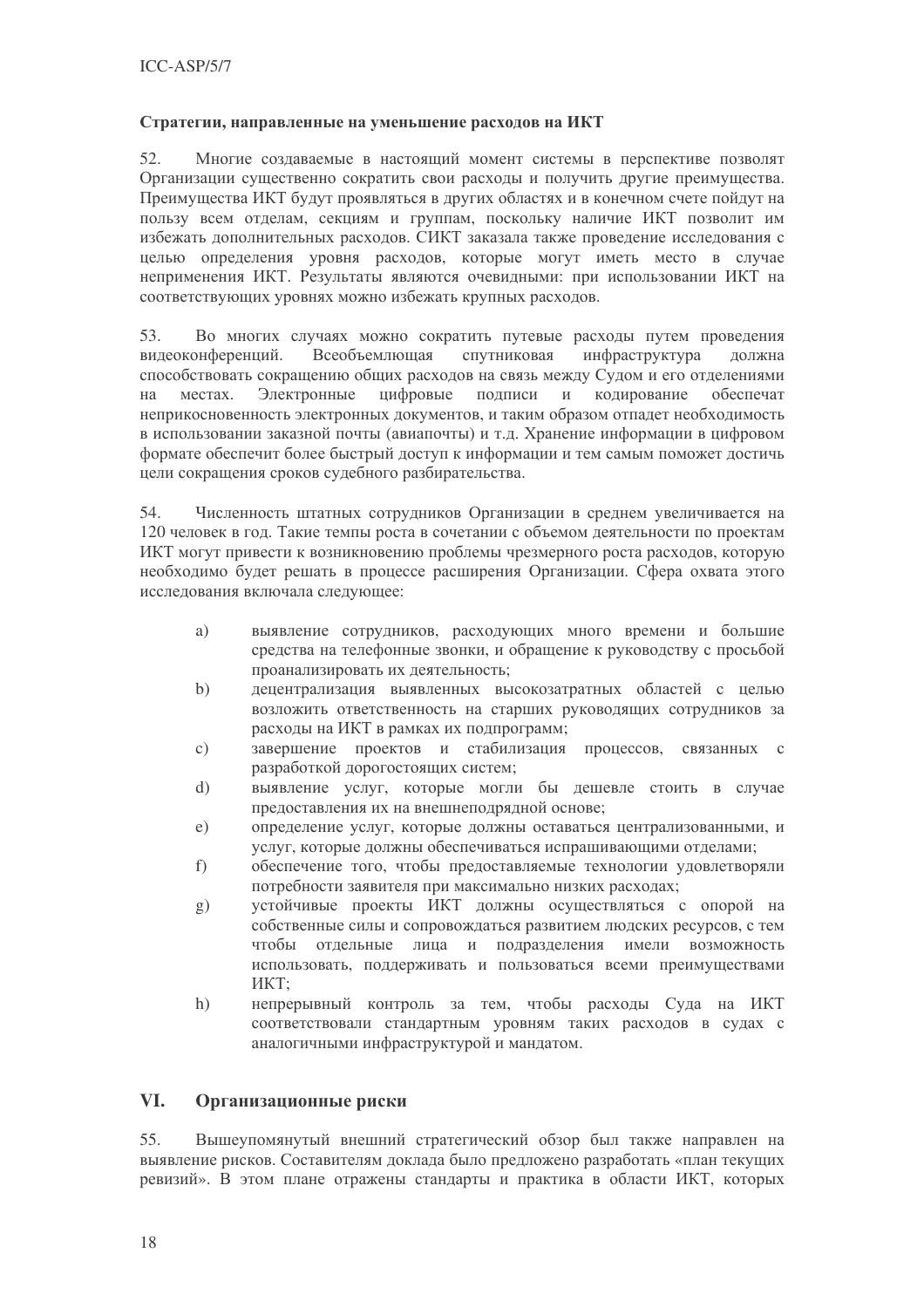### Стратегии, направленные на уменьшение расходов на ИКТ

52. Многие создаваемые в настоящий момент системы в перспективе позволят Организации существенно сократить свои расходы и получить другие преимущества. Преимущества ИКТ будут проявляться в других областях и в конечном счете пойдут на пользу всем отлелам, секциям и группам, поскольку наличие ИКТ позволит им избежать дополнительных расходов. СИКТ заказала также проведение исследования с целью определения уровня расходов, которые могут иметь место в случае неприменения ИКТ. Результаты являются очевидными: при использовании ИКТ на соответствующих уровнях можно избежать крупных расходов.

53. Во многих случаях можно сократить путевые расходы путем проведения видеоконференций. Всеобъемлющая спутниковая инфраструктура должна способствовать сокращению общих расходов на связь между Судом и его отделениями на местах. Электронные цифровые подписи и кодирование обеспечат неприкосновенность электронных документов, и таким образом отпадет необходимость в использовании заказной почты (авиапочты) и т.д. Хранение информации в цифровом формате обеспечит более быстрый доступ к информации и тем самым поможет достичь цели сокращения сроков судебного разбирательства.

54. Численность штатных сотрудников Организации в среднем увеличивается на 120 человек в год. Такие темпы роста в сочетании с объемом деятельности по проектам ИКТ могут привести к возникновению проблемы чрезмерного роста расходов, которую необходимо будет решать в процессе расширения Организации. Сфера охвата этого исследования включала следующее:

- выявление сотрудников, расходующих много времени и большие a) средства на телефонные звонки, и обращение к руководству с просьбой проанализировать их деятельность;
- $b)$ децентрализация выявленных высокозатратных областей с целью возложить ответственность на старших руководящих сотрудников за расхолы на ИКТ в рамках их полпрограмм:
- завершение проектов и стабилизация процессов, связанных с  $\mathcal{C}$ ) разработкой дорогостоящих систем;
- $d)$ выявление услуг, которые могли бы дешевле стоить в случае предоставления их на внешнеподрядной основе;
- определение услуг, которые должны оставаться централизованными, и  $e)$ услуг, которые должны обеспечиваться испрашивающими отделами;
- $f$ ) обеспечение того, чтобы предоставляемые технологии удовлетворяли потребности заявителя при максимально низких расходах:
- устойчивые проекты ИКТ должны осуществляться с опорой на  $g)$ собственные силы и сопровождаться развитием людских ресурсов, с тем чтобы отдельные лица и подразделения имели возможность использовать, поддерживать и пользоваться всеми преимуществами **HKT:**
- непрерывный контроль за тем, чтобы расходы Суда на ИКТ  $h)$ соответствовали стандартным уровням таких расходов в судах с аналогичными инфраструктурой и мандатом.

#### VI. Организационные риски

Вышеупомянутый внешний стратегический обзор был также направлен на 55. выявление рисков. Составителям доклада было предложено разработать «план текущих ревизий». В этом плане отражены стандарты и практика в области ИКТ, которых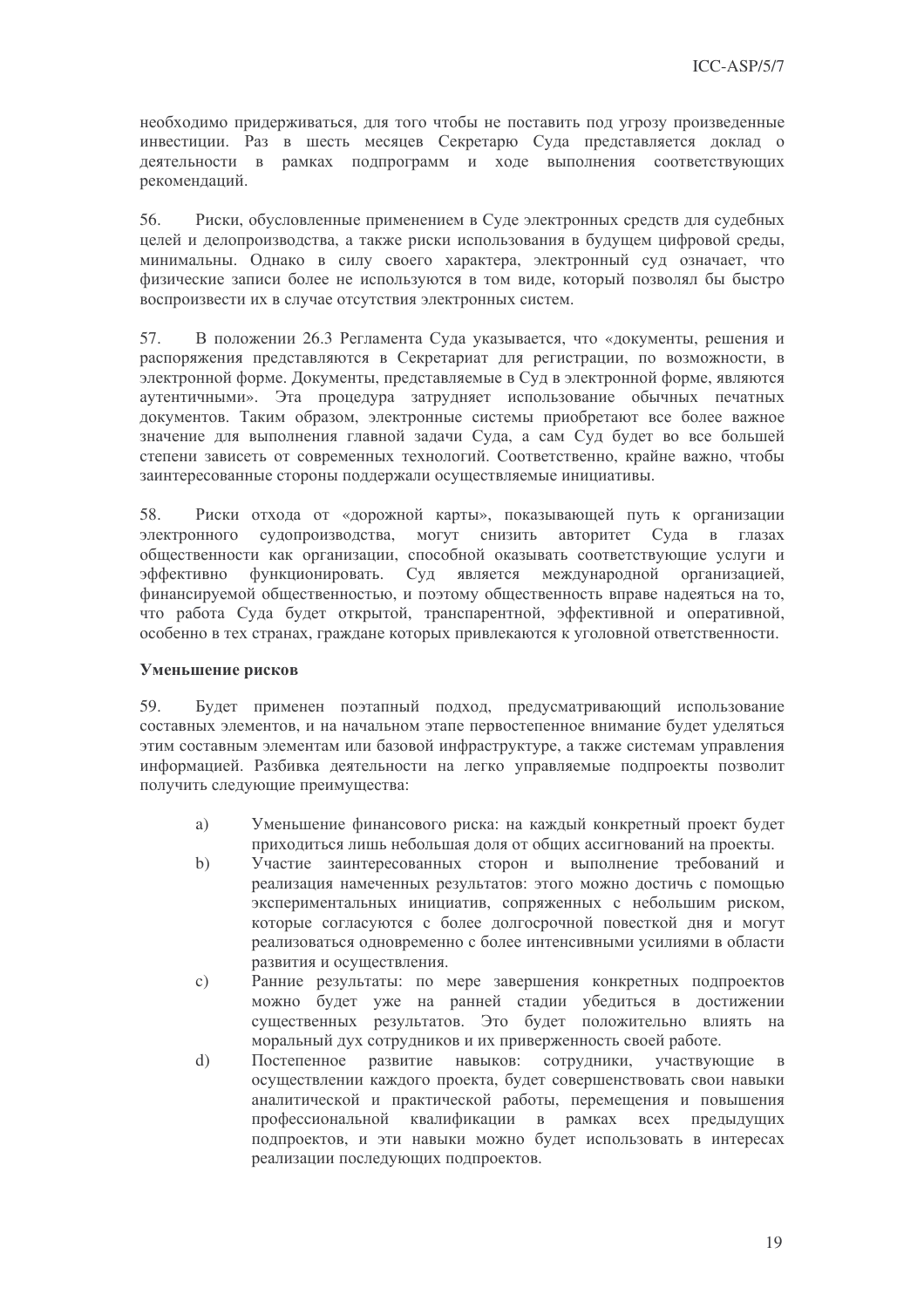необходимо придерживаться, для того чтобы не поставить под угрозу произведенные инвестиции. Раз в шесть месяцев Секретарю Суда представляется доклад о деятельности в рамках подпрограмм и ходе выполнения соответствующих рекомендаций.

Риски, обусловленные применением в Суде электронных средств для судебных 56. целей и делопроизводства, а также риски использования в будущем цифровой среды, минимальны. Однако в силу своего характера, электронный суд означает, что физические записи более не используются в том виде, который позволял бы быстро воспроизвести их в случае отсутствия электронных систем.

57. В положении 26.3 Регламента Суда указывается, что «документы, решения и распоряжения представляются в Секретариат для регистрации, по возможности, в электронной форме. Документы, представляемые в Суд в электронной форме, являются аутентичными». Эта процедура затрудняет использование обычных печатных документов. Таким образом, электронные системы приобретают все более важное значение для выполнения главной залачи Суда, а сам Суд будет во все большей степени зависеть от современных технологий. Соответственно, крайне важно, чтобы заинтересованные стороны поддержали осуществляемые инициативы.

58. Риски отхода от «дорожной карты», показывающей путь к организации электронного судопроизводства, могут снизить авторитет Суда в глазах обшественности как организации, способной оказывать соответствующие услуги и эффективно функционировать. Суд является международной организацией, финансируемой общественностью, и поэтому общественность вправе надеяться на то, что работа Суда будет открытой, транспарентной, эффективной и оперативной, особенно в тех странах, граждане которых привлекаются к уголовной ответственности.

### Уменьшение рисков

Будет применен поэтапный подход, предусматривающий использование 59. составных элементов, и на начальном этапе первостепенное внимание будет уделяться этим составным элементам или базовой инфраструктуре, а также системам управления информацией. Разбивка деятельности на легко управляемые подпроекты позволит получить следующие преимущества:

- Уменьшение финансового риска: на каждый конкретный проект будет  $a)$ приходиться лишь небольшая доля от общих ассигнований на проекты.
- Участие заинтересованных сторон и выполнение требований и  $b)$ реализация намеченных результатов: этого можно достичь с помощью экспериментальных инициатив, сопряженных с небольшим риском, которые согласуются с более долгосрочной повесткой дня и могут реализоваться одновременно с более интенсивными усилиями в области развития и осушествления.
- Ранние результаты: по мере завершения конкретных подпроектов  $c)$ можно будет уже на ранней стадии убедиться в достижении существенных результатов. Это будет положительно влиять на моральный дух сотрудников и их приверженность своей работе.
- $\mathbf{d}$ Постепенное развитие навыков: сотрудники, участвующие  $\overline{B}$ осуществлении каждого проекта, будет совершенствовать свои навыки аналитической и практической работы, перемещения и повышения профессиональной квалификации в рамках всех предыдущих подпроектов, и эти навыки можно будет использовать в интересах реализации последующих подпроектов.